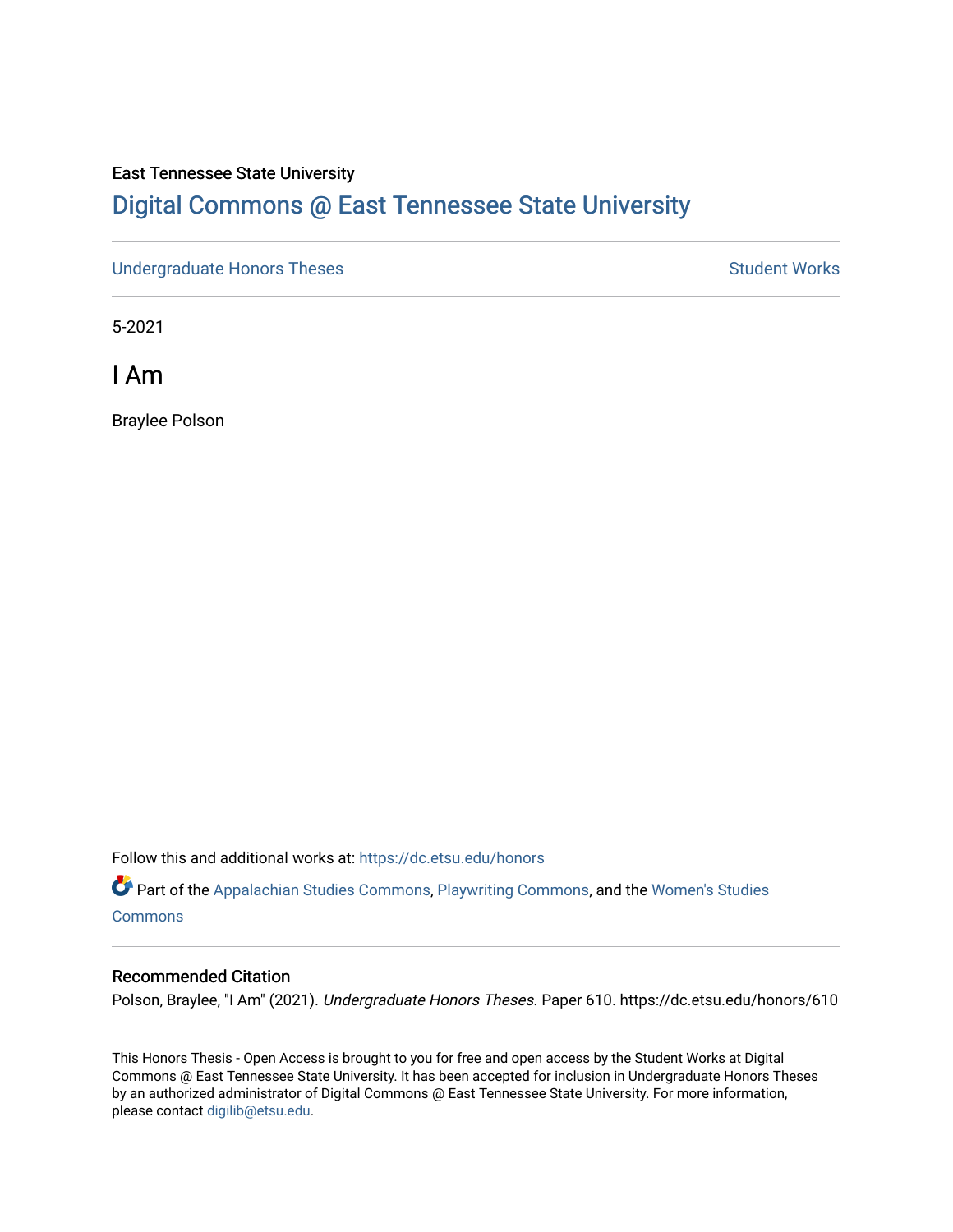#### East Tennessee State University

# [Digital Commons @ East Tennessee State University](https://dc.etsu.edu/)

[Undergraduate Honors Theses](https://dc.etsu.edu/honors) Student Works

5-2021

I Am

Braylee Polson

Follow this and additional works at: [https://dc.etsu.edu/honors](https://dc.etsu.edu/honors?utm_source=dc.etsu.edu%2Fhonors%2F610&utm_medium=PDF&utm_campaign=PDFCoverPages)

Part of the [Appalachian Studies Commons,](http://network.bepress.com/hgg/discipline/1253?utm_source=dc.etsu.edu%2Fhonors%2F610&utm_medium=PDF&utm_campaign=PDFCoverPages) [Playwriting Commons,](http://network.bepress.com/hgg/discipline/557?utm_source=dc.etsu.edu%2Fhonors%2F610&utm_medium=PDF&utm_campaign=PDFCoverPages) and the [Women's Studies](http://network.bepress.com/hgg/discipline/561?utm_source=dc.etsu.edu%2Fhonors%2F610&utm_medium=PDF&utm_campaign=PDFCoverPages) **[Commons](http://network.bepress.com/hgg/discipline/561?utm_source=dc.etsu.edu%2Fhonors%2F610&utm_medium=PDF&utm_campaign=PDFCoverPages)** 

#### Recommended Citation

Polson, Braylee, "I Am" (2021). Undergraduate Honors Theses. Paper 610. https://dc.etsu.edu/honors/610

This Honors Thesis - Open Access is brought to you for free and open access by the Student Works at Digital Commons @ East Tennessee State University. It has been accepted for inclusion in Undergraduate Honors Theses by an authorized administrator of Digital Commons @ East Tennessee State University. For more information, please contact [digilib@etsu.edu.](mailto:digilib@etsu.edu)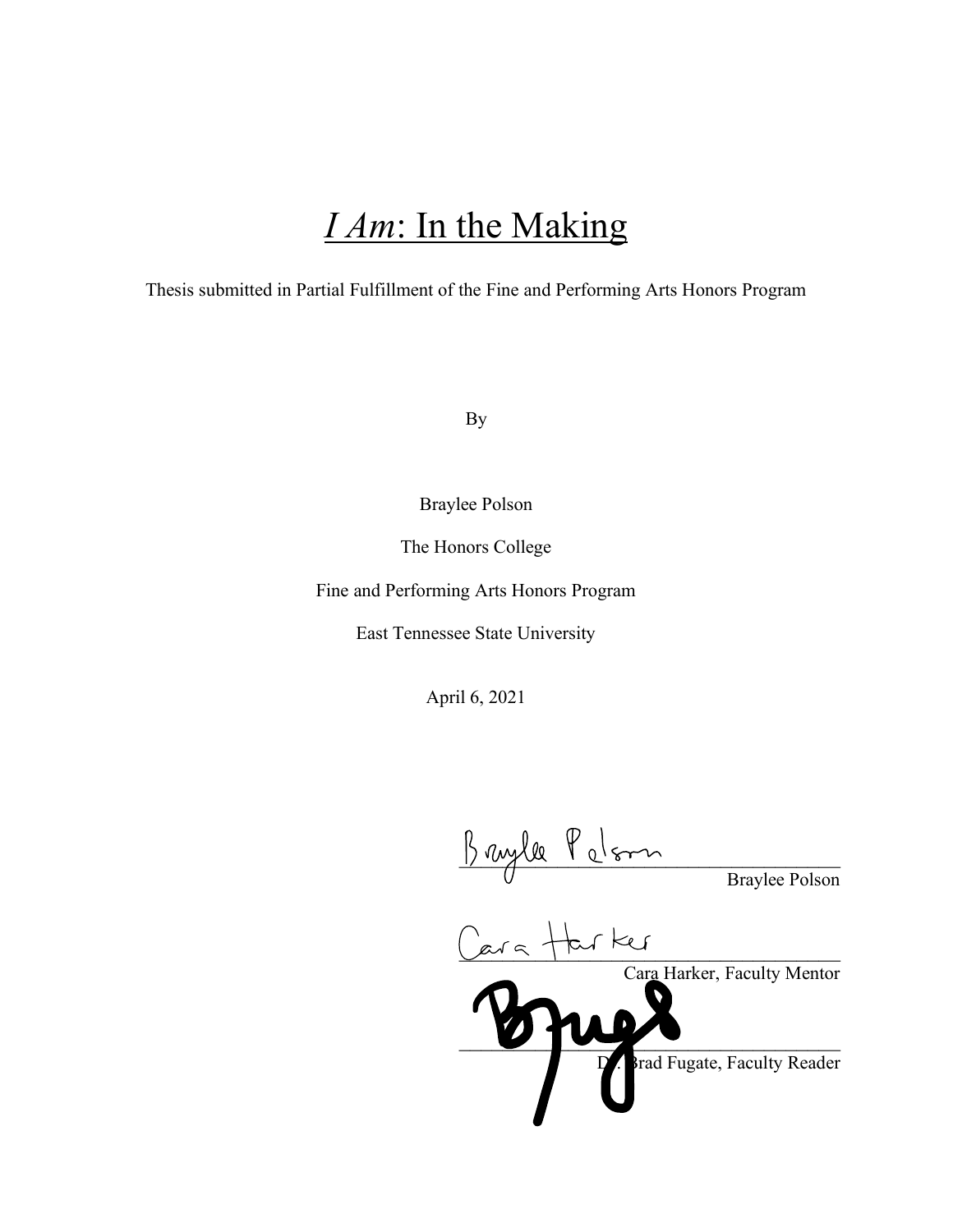# *I Am*: In the Making

Thesis submitted in Partial Fulfillment of the Fine and Performing Arts Honors Program

By

Braylee Polson

The Honors College

Fine and Performing Arts Honors Program

East Tennessee State University

April 6, 2021

 $1)$  rayle 1 c/son Braylee Polson

Lara Tru ru Cara Harker, Faculty Mentor  $\boldsymbol{v}$  ,  $\boldsymbol{v}$  ,  $\boldsymbol{v}$ Brad Fugate, Faculty Reader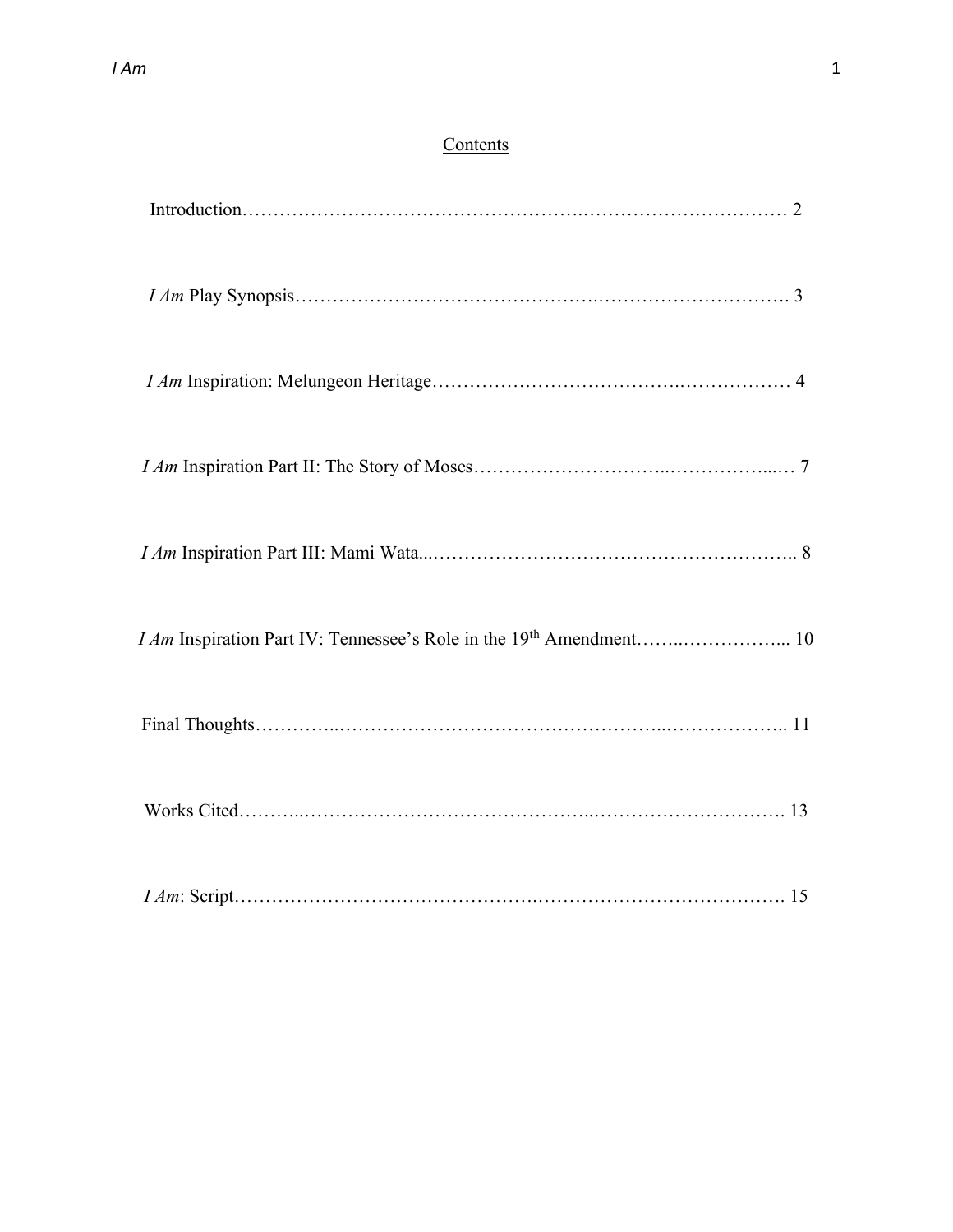# **Contents**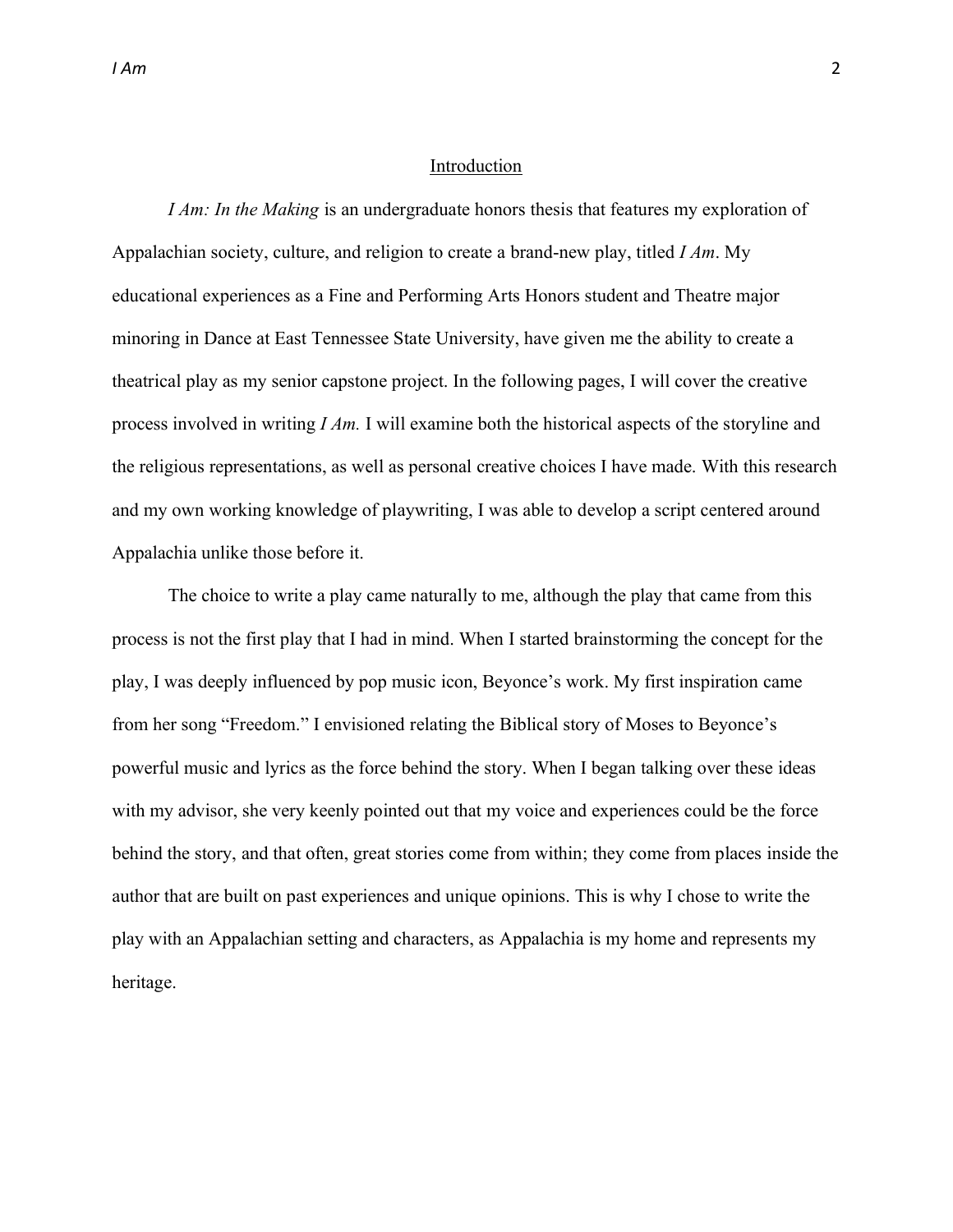#### Introduction

*I Am: In the Making* is an undergraduate honors thesis that features my exploration of Appalachian society, culture, and religion to create a brand-new play, titled *I Am*. My educational experiences as a Fine and Performing Arts Honors student and Theatre major minoring in Dance at East Tennessee State University, have given me the ability to create a theatrical play as my senior capstone project. In the following pages, I will cover the creative process involved in writing *I Am.* I will examine both the historical aspects of the storyline and the religious representations, as well as personal creative choices I have made. With this research and my own working knowledge of playwriting, I was able to develop a script centered around Appalachia unlike those before it.

The choice to write a play came naturally to me, although the play that came from this process is not the first play that I had in mind. When I started brainstorming the concept for the play, I was deeply influenced by pop music icon, Beyonce's work. My first inspiration came from her song "Freedom." I envisioned relating the Biblical story of Moses to Beyonce's powerful music and lyrics as the force behind the story. When I began talking over these ideas with my advisor, she very keenly pointed out that my voice and experiences could be the force behind the story, and that often, great stories come from within; they come from places inside the author that are built on past experiences and unique opinions. This is why I chose to write the play with an Appalachian setting and characters, as Appalachia is my home and represents my heritage.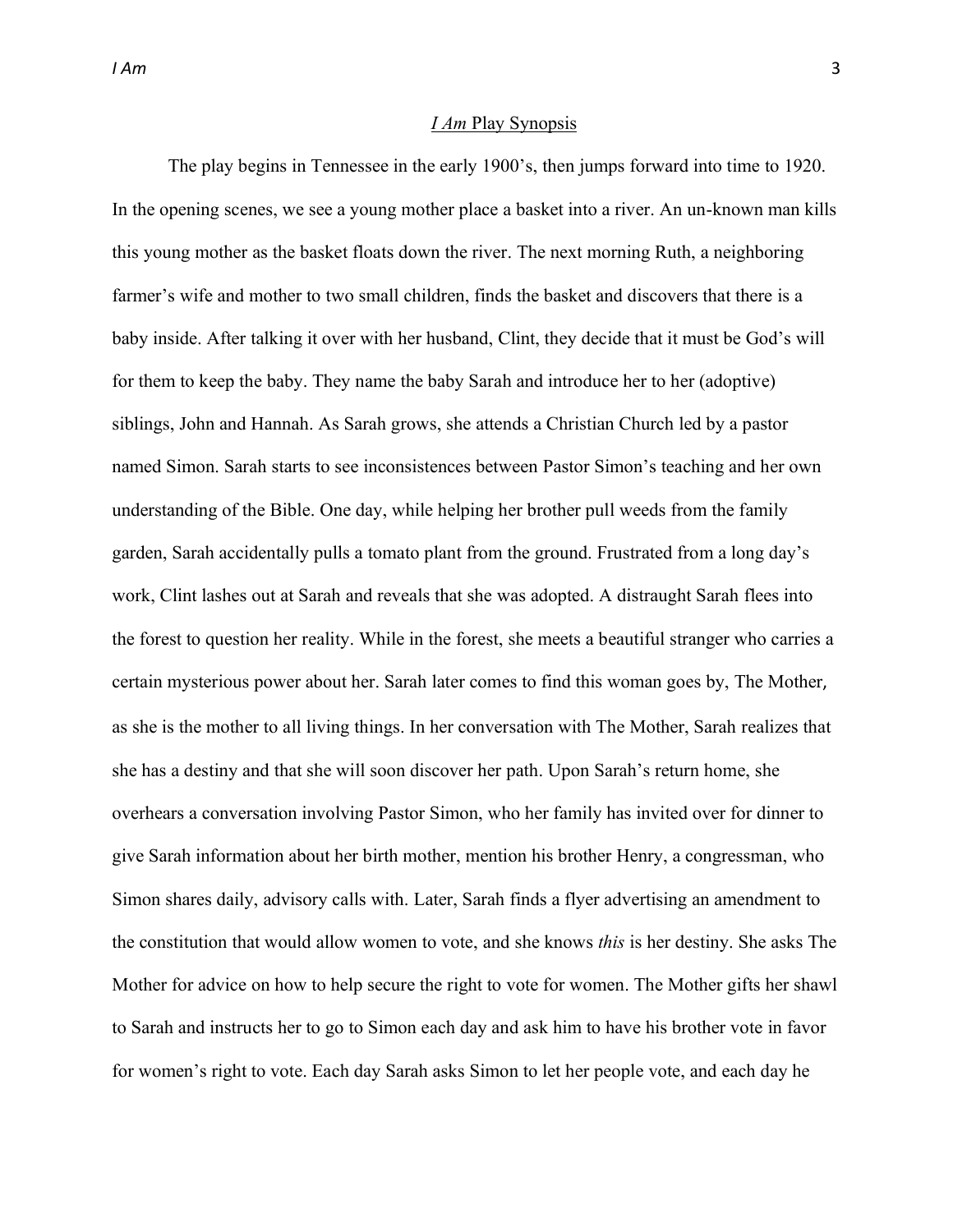#### *I Am* Play Synopsis

The play begins in Tennessee in the early 1900's, then jumps forward into time to 1920. In the opening scenes, we see a young mother place a basket into a river. An un-known man kills this young mother as the basket floats down the river. The next morning Ruth, a neighboring farmer's wife and mother to two small children, finds the basket and discovers that there is a baby inside. After talking it over with her husband, Clint, they decide that it must be God's will for them to keep the baby. They name the baby Sarah and introduce her to her (adoptive) siblings, John and Hannah. As Sarah grows, she attends a Christian Church led by a pastor named Simon. Sarah starts to see inconsistences between Pastor Simon's teaching and her own understanding of the Bible. One day, while helping her brother pull weeds from the family garden, Sarah accidentally pulls a tomato plant from the ground. Frustrated from a long day's work, Clint lashes out at Sarah and reveals that she was adopted. A distraught Sarah flees into the forest to question her reality. While in the forest, she meets a beautiful stranger who carries a certain mysterious power about her. Sarah later comes to find this woman goes by, The Mother, as she is the mother to all living things. In her conversation with The Mother, Sarah realizes that she has a destiny and that she will soon discover her path. Upon Sarah's return home, she overhears a conversation involving Pastor Simon, who her family has invited over for dinner to give Sarah information about her birth mother, mention his brother Henry, a congressman, who Simon shares daily, advisory calls with. Later, Sarah finds a flyer advertising an amendment to the constitution that would allow women to vote, and she knows *this* is her destiny. She asks The Mother for advice on how to help secure the right to vote for women. The Mother gifts her shawl to Sarah and instructs her to go to Simon each day and ask him to have his brother vote in favor for women's right to vote. Each day Sarah asks Simon to let her people vote, and each day he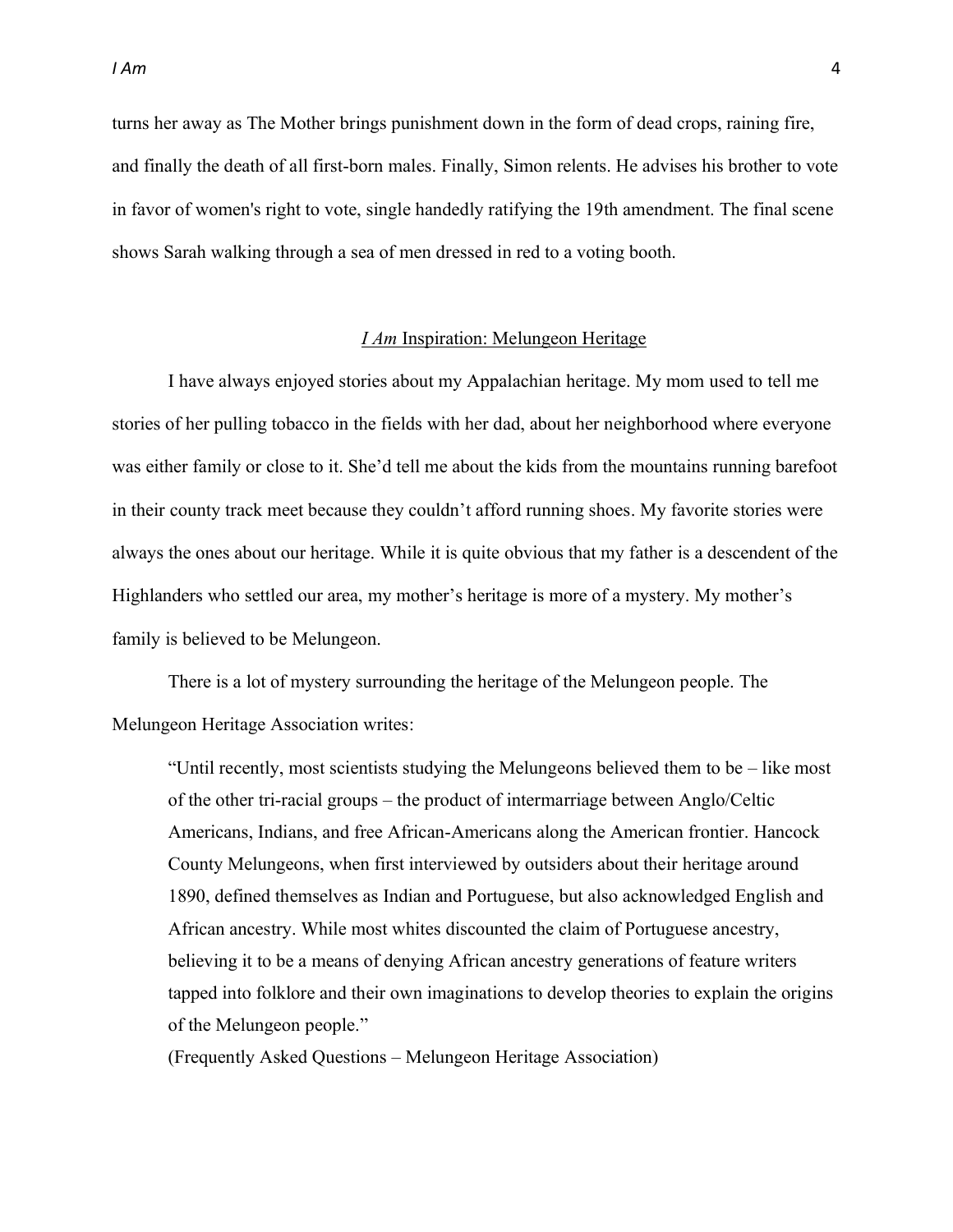turns her away as The Mother brings punishment down in the form of dead crops, raining fire, and finally the death of all first-born males. Finally, Simon relents. He advises his brother to vote in favor of women's right to vote, single handedly ratifying the 19th amendment. The final scene shows Sarah walking through a sea of men dressed in red to a voting booth.

#### *I Am* Inspiration: Melungeon Heritage

I have always enjoyed stories about my Appalachian heritage. My mom used to tell me stories of her pulling tobacco in the fields with her dad, about her neighborhood where everyone was either family or close to it. She'd tell me about the kids from the mountains running barefoot in their county track meet because they couldn't afford running shoes. My favorite stories were always the ones about our heritage. While it is quite obvious that my father is a descendent of the Highlanders who settled our area, my mother's heritage is more of a mystery. My mother's family is believed to be Melungeon.

There is a lot of mystery surrounding the heritage of the Melungeon people. The Melungeon Heritage Association writes:

"Until recently, most scientists studying the Melungeons believed them to be  $-\text{like most}$ of the other tri-racial groups  $-$  the product of intermarriage between Anglo/Celtic Americans, Indians, and free African-Americans along the American frontier. Hancock County Melungeons, when first interviewed by outsiders about their heritage around 1890, defined themselves as Indian and Portuguese, but also acknowledged English and African ancestry. While most whites discounted the claim of Portuguese ancestry, believing it to be a means of denying African ancestry generations of feature writers tapped into folklore and their own imaginations to develop theories to explain the origins of the Melungeon people.´

(Frequently Asked Questions - Melungeon Heritage Association)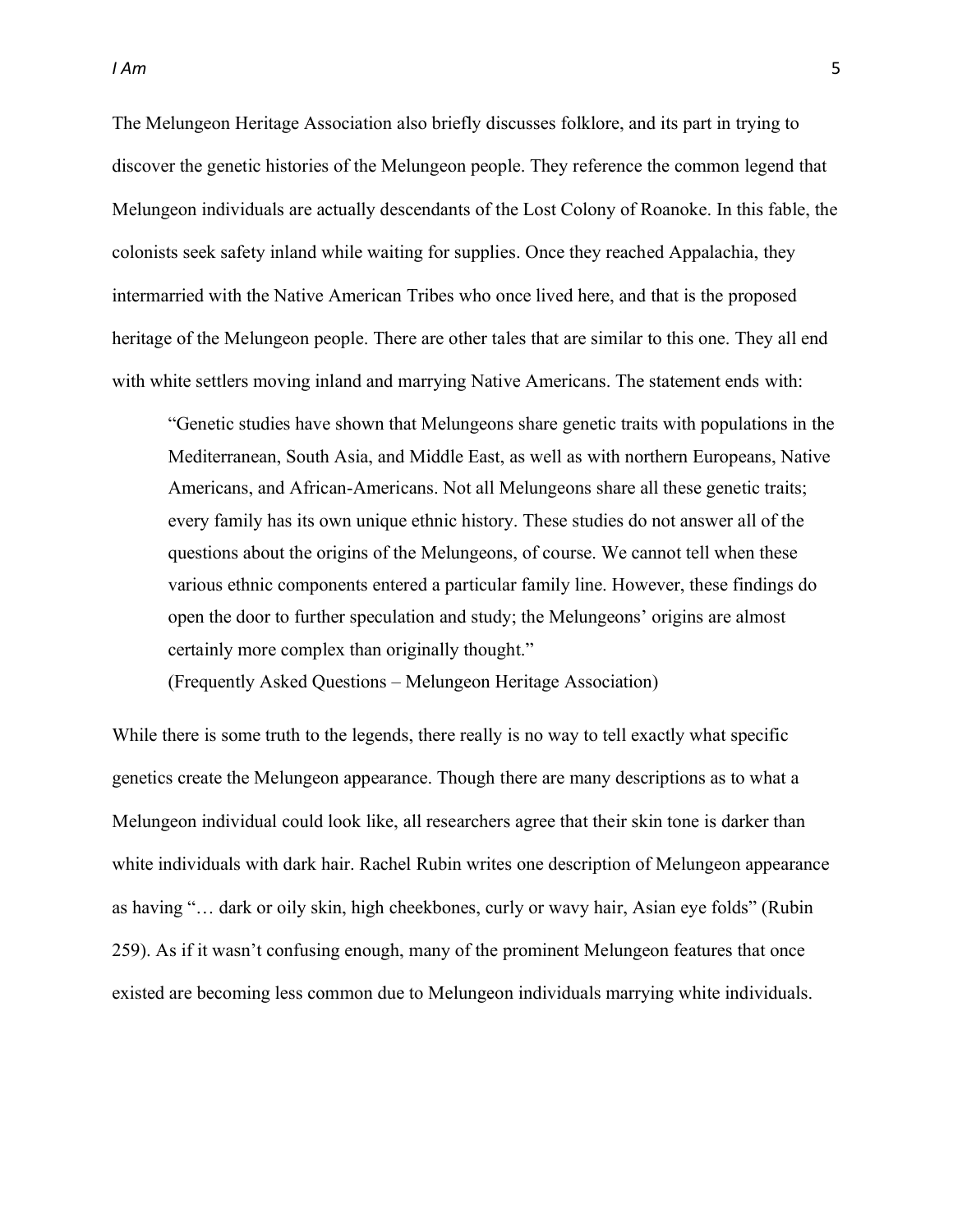The Melungeon Heritage Association also briefly discusses folklore, and its part in trying to discover the genetic histories of the Melungeon people. They reference the common legend that Melungeon individuals are actually descendants of the Lost Colony of Roanoke. In this fable, the colonists seek safety inland while waiting for supplies. Once they reached Appalachia, they intermarried with the Native American Tribes who once lived here, and that is the proposed heritage of the Melungeon people. There are other tales that are similar to this one. They all end with white settlers moving inland and marrying Native Americans. The statement ends with:

³Genetic studies have shown that Melungeons share genetic traits with populations in the Mediterranean, South Asia, and Middle East, as well as with northern Europeans, Native Americans, and African-Americans. Not all Melungeons share all these genetic traits; every family has its own unique ethnic history. These studies do not answer all of the questions about the origins of the Melungeons, of course. We cannot tell when these various ethnic components entered a particular family line. However, these findings do open the door to further speculation and study; the Melungeons' origins are almost certainly more complex than originally thought."

(Frequently Asked Questions - Melungeon Heritage Association)

While there is some truth to the legends, there really is no way to tell exactly what specific genetics create the Melungeon appearance. Though there are many descriptions as to what a Melungeon individual could look like, all researchers agree that their skin tone is darker than white individuals with dark hair. Rachel Rubin writes one description of Melungeon appearance as having "... dark or oily skin, high cheekbones, curly or wavy hair, Asian eye folds" (Rubin 259). As if it wasn't confusing enough, many of the prominent Melungeon features that once existed are becoming less common due to Melungeon individuals marrying white individuals.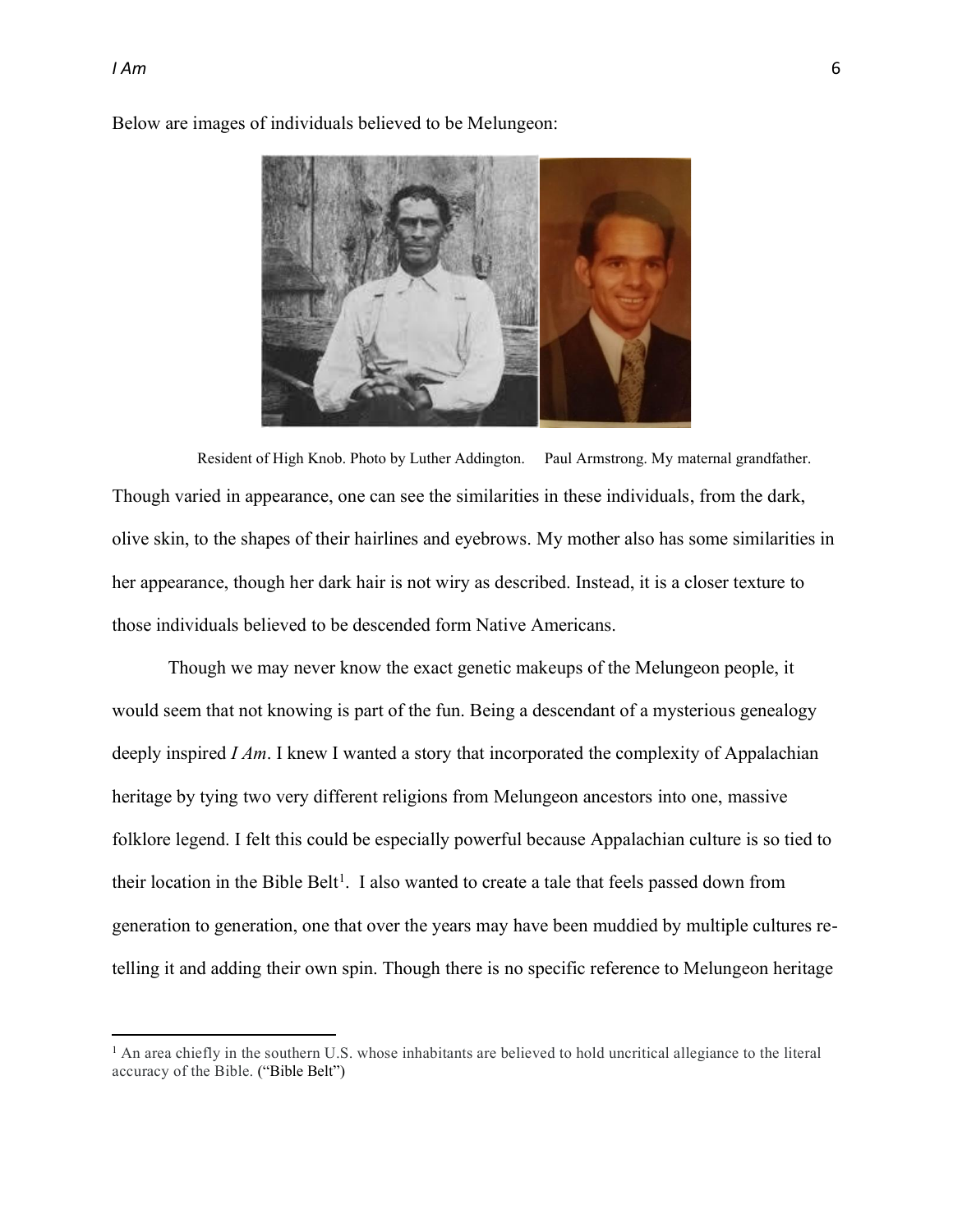

Below are images of individuals believed to be Melungeon:

Resident of High Knob. Photo by Luther Addington. Paul Armstrong. My maternal grandfather. Though varied in appearance, one can see the similarities in these individuals, from the dark, olive skin, to the shapes of their hairlines and eyebrows. My mother also has some similarities in her appearance, though her dark hair is not wiry as described. Instead, it is a closer texture to those individuals believed to be descended form Native Americans.

Though we may never know the exact genetic makeups of the Melungeon people, it would seem that not knowing is part of the fun. Being a descendant of a mysterious genealogy deeply inspired *I Am*. I knew I wanted a story that incorporated the complexity of Appalachian heritage by tying two very different religions from Melungeon ancestors into one, massive folklore legend. I felt this could be especially powerful because Appalachian culture is so tied to their location in the Bible Belt<sup>1</sup>. I also wanted to create a tale that feels passed down from generation to generation, one that over the years may have been muddied by multiple cultures retelling it and adding their own spin. Though there is no specific reference to Melungeon heritage

<sup>&</sup>lt;sup>1</sup> An area chiefly in the southern U.S. whose inhabitants are believed to hold uncritical allegiance to the literal accuracy of the Bible. ("Bible Belt")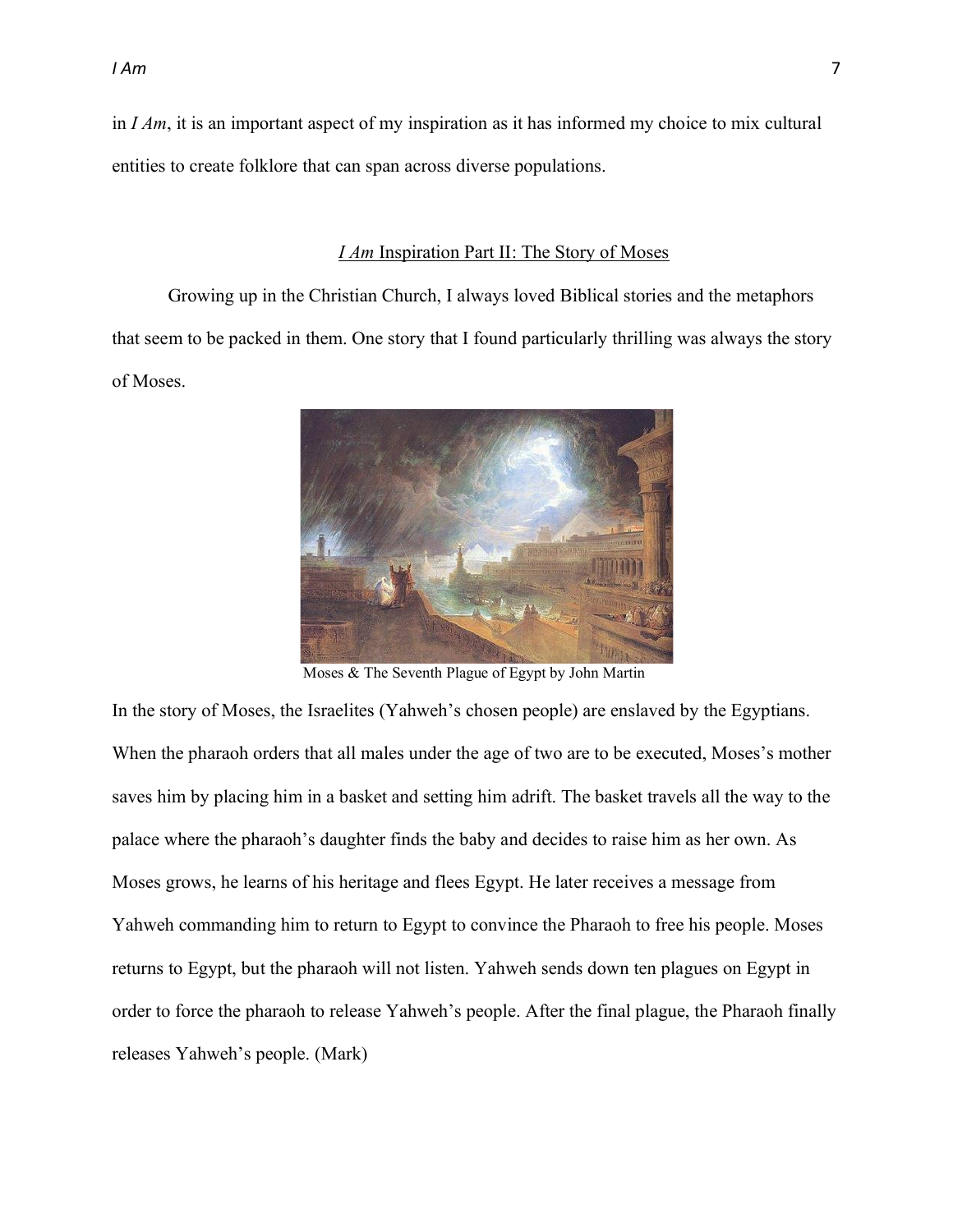in *I Am*, it is an important aspect of my inspiration as it has informed my choice to mix cultural entities to create folklore that can span across diverse populations.

#### *I Am* Inspiration Part II: The Story of Moses

Growing up in the Christian Church, I always loved Biblical stories and the metaphors that seem to be packed in them. One story that I found particularly thrilling was always the story of Moses.



Moses & The Seventh Plague of Egypt by John Martin

In the story of Moses, the Israelites (Yahweh's chosen people) are enslaved by the Egyptians. When the pharaoh orders that all males under the age of two are to be executed, Moses's mother saves him by placing him in a basket and setting him adrift. The basket travels all the way to the palace where the pharaoh's daughter finds the baby and decides to raise him as her own. As Moses grows, he learns of his heritage and flees Egypt. He later receives a message from Yahweh commanding him to return to Egypt to convince the Pharaoh to free his people. Moses returns to Egypt, but the pharaoh will not listen. Yahweh sends down ten plagues on Egypt in order to force the pharaoh to release Yahweh's people. After the final plague, the Pharaoh finally releases Yahweh's people. (Mark)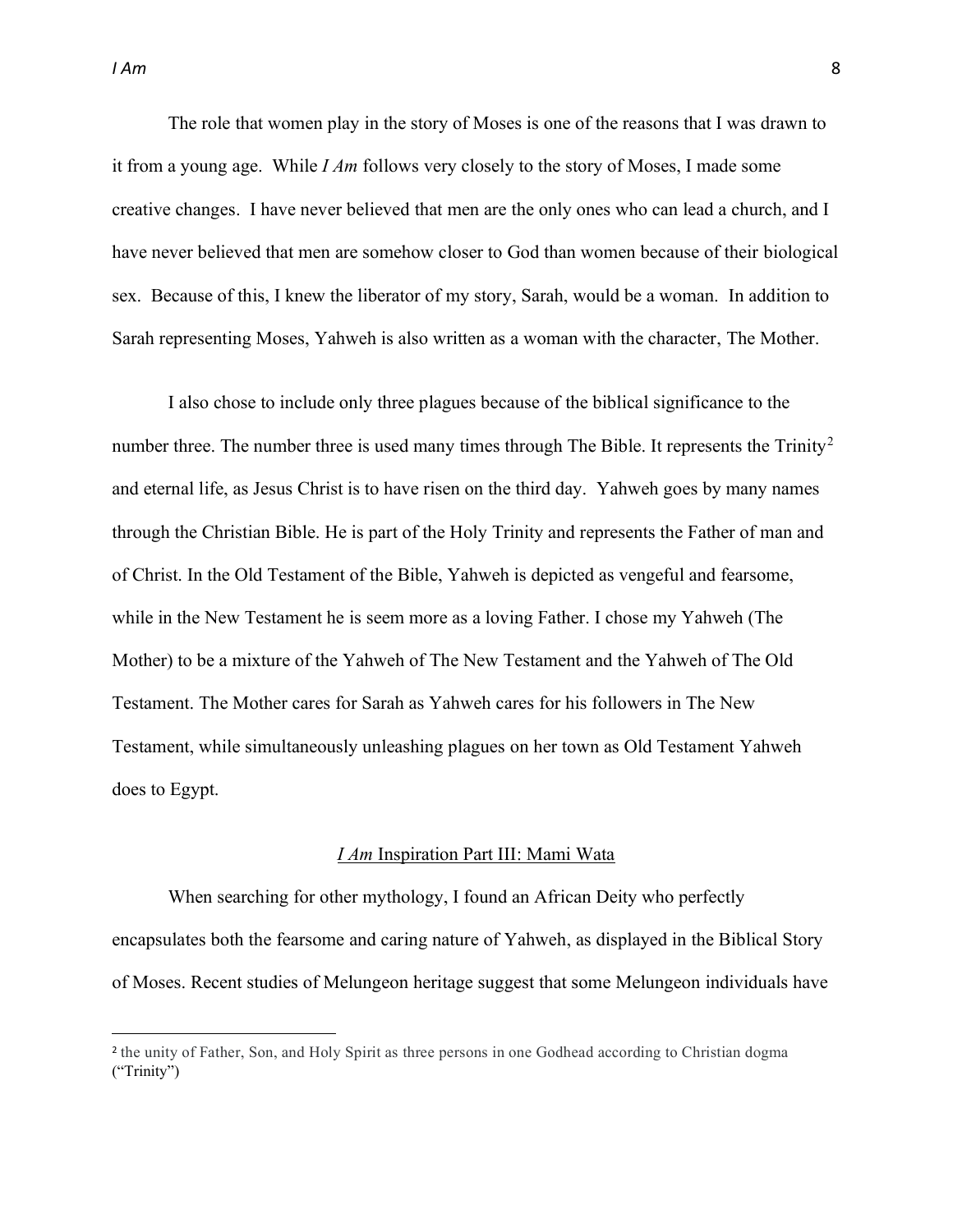The role that women play in the story of Moses is one of the reasons that I was drawn to it from a young age. While *I Am* follows very closely to the story of Moses, I made some creative changes. I have never believed that men are the only ones who can lead a church, and I have never believed that men are somehow closer to God than women because of their biological sex. Because of this, I knew the liberator of my story, Sarah, would be a woman. In addition to Sarah representing Moses, Yahweh is also written as a woman with the character, The Mother.

I also chose to include only three plagues because of the biblical significance to the number three. The number three is used many times through The Bible. It represents the  $T\text{rinity}^2$ and eternal life, as Jesus Christ is to have risen on the third day. Yahweh goes by many names through the Christian Bible. He is part of the Holy Trinity and represents the Father of man and of Christ. In the Old Testament of the Bible, Yahweh is depicted as vengeful and fearsome, while in the New Testament he is seem more as a loving Father. I chose my Yahweh (The Mother) to be a mixture of the Yahweh of The New Testament and the Yahweh of The Old Testament. The Mother cares for Sarah as Yahweh cares for his followers in The New Testament, while simultaneously unleashing plagues on her town as Old Testament Yahweh does to Egypt.

#### *I Am* Inspiration Part III: Mami Wata

When searching for other mythology, I found an African Deity who perfectly encapsulates both the fearsome and caring nature of Yahweh, as displayed in the Biblical Story of Moses. Recent studies of Melungeon heritage suggest that some Melungeon individuals have

<sup>2</sup> the unity of Father, Son, and Holy Spirit as three persons in one Godhead according to Christian dogma  $("Trinity")$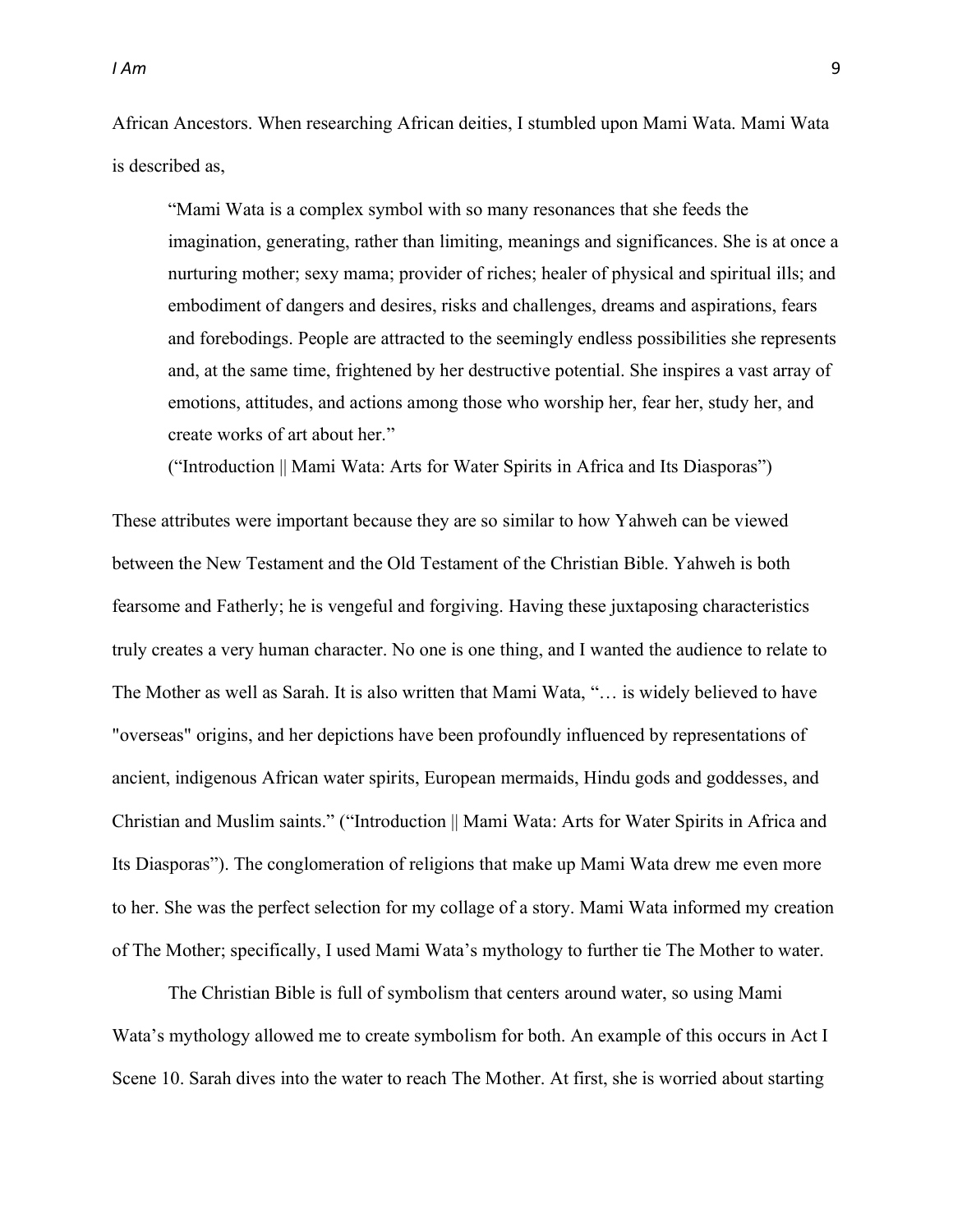African Ancestors. When researching African deities, I stumbled upon Mami Wata. Mami Wata is described as,

³Mami Wata is a complex symbol with so many resonances that she feeds the imagination, generating, rather than limiting, meanings and significances. She is at once a nurturing mother; sexy mama; provider of riches; healer of physical and spiritual ills; and embodiment of dangers and desires, risks and challenges, dreams and aspirations, fears and forebodings. People are attracted to the seemingly endless possibilities she represents and, at the same time, frightened by her destructive potential. She inspires a vast array of emotions, attitudes, and actions among those who worship her, fear her, study her, and create works of art about her."

("Introduction || Mami Wata: Arts for Water Spirits in Africa and Its Diasporas")

These attributes were important because they are so similar to how Yahweh can be viewed between the New Testament and the Old Testament of the Christian Bible. Yahweh is both fearsome and Fatherly; he is vengeful and forgiving. Having these juxtaposing characteristics truly creates a very human character. No one is one thing, and I wanted the audience to relate to The Mother as well as Sarah. It is also written that Mami Wata, "... is widely believed to have "overseas" origins, and her depictions have been profoundly influenced by representations of ancient, indigenous African water spirits, European mermaids, Hindu gods and goddesses, and Christian and Muslim saints." ("Introduction || Mami Wata: Arts for Water Spirits in Africa and Its Diasporas´). The conglomeration of religions that make up Mami Wata drew me even more to her. She was the perfect selection for my collage of a story. Mami Wata informed my creation of The Mother; specifically, I used Mami Wata's mythology to further tie The Mother to water.

The Christian Bible is full of symbolism that centers around water, so using Mami Wata's mythology allowed me to create symbolism for both. An example of this occurs in Act I Scene 10. Sarah dives into the water to reach The Mother. At first, she is worried about starting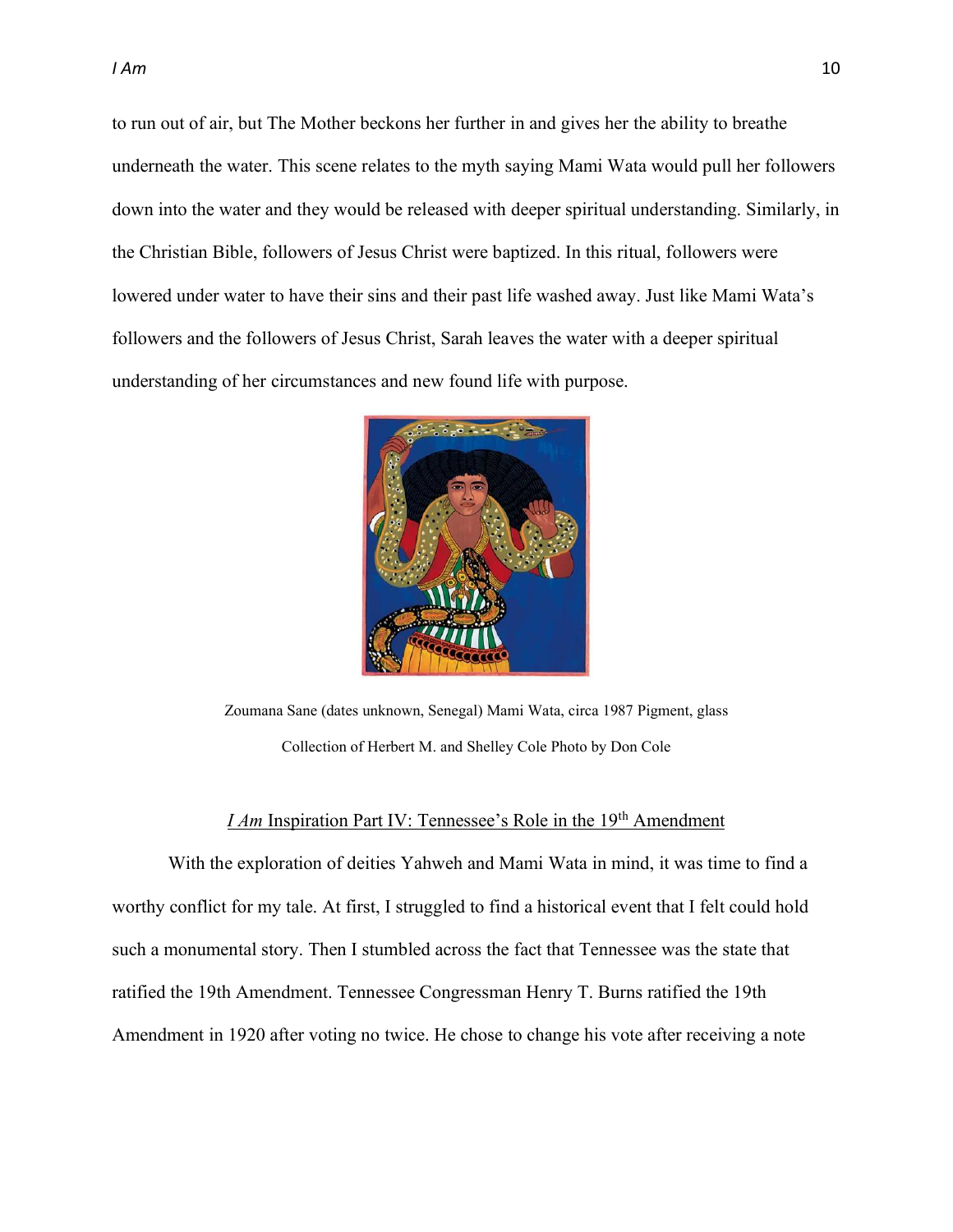to run out of air, but The Mother beckons her further in and gives her the ability to breathe underneath the water. This scene relates to the myth saying Mami Wata would pull her followers down into the water and they would be released with deeper spiritual understanding. Similarly, in the Christian Bible, followers of Jesus Christ were baptized. In this ritual, followers were lowered under water to have their sins and their past life washed away. Just like Mami Wata's followers and the followers of Jesus Christ, Sarah leaves the water with a deeper spiritual understanding of her circumstances and new found life with purpose.



Zoumana Sane (dates unknown, Senegal) Mami Wata, circa 1987 Pigment, glass Collection of Herbert M. and Shelley Cole Photo by Don Cole

#### *I Am* Inspiration Part IV: Tennessee's Role in the 19<sup>th</sup> Amendment

With the exploration of deities Yahweh and Mami Wata in mind, it was time to find a worthy conflict for my tale. At first, I struggled to find a historical event that I felt could hold such a monumental story. Then I stumbled across the fact that Tennessee was the state that ratified the 19th Amendment. Tennessee Congressman Henry T. Burns ratified the 19th Amendment in 1920 after voting no twice. He chose to change his vote after receiving a note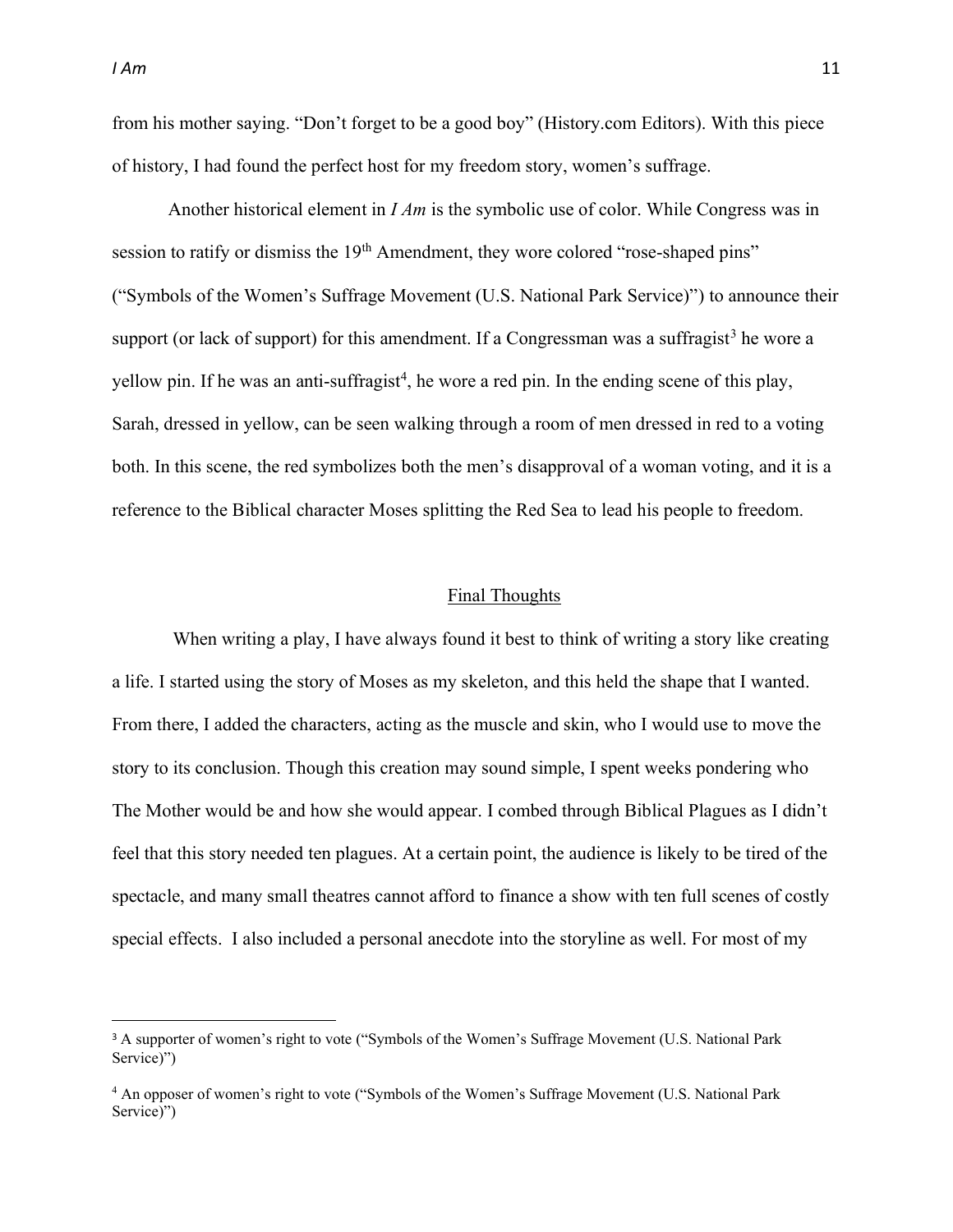from his mother saying. "Don't forget to be a good boy" (History.com Editors). With this piece of history, I had found the perfect host for my freedom story, women's suffrage.

Another historical element in *I Am* is the symbolic use of color. While Congress was in session to ratify or dismiss the 19<sup>th</sup> Amendment, they wore colored "rose-shaped pins" ("Symbols of the Women's Suffrage Movement (U.S. National Park Service)") to announce their support (or lack of support) for this amendment. If a Congressman was a suffragist<sup>3</sup> he wore a yellow pin. If he was an anti-suffragist<sup>4</sup>, he wore a red pin. In the ending scene of this play, Sarah, dressed in yellow, can be seen walking through a room of men dressed in red to a voting both. In this scene, the red symbolizes both the men's disapproval of a woman voting, and it is a reference to the Biblical character Moses splitting the Red Sea to lead his people to freedom.

#### Final Thoughts

When writing a play, I have always found it best to think of writing a story like creating a life. I started using the story of Moses as my skeleton, and this held the shape that I wanted. From there, I added the characters, acting as the muscle and skin, who I would use to move the story to its conclusion. Though this creation may sound simple, I spent weeks pondering who The Mother would be and how she would appear. I combed through Biblical Plagues as I didn't feel that this story needed ten plagues. At a certain point, the audience is likely to be tired of the spectacle, and many small theatres cannot afford to finance a show with ten full scenes of costly special effects. I also included a personal anecdote into the storyline as well. For most of my

<sup>&</sup>lt;sup>3</sup> A supporter of women's right to vote ("Symbols of the Women's Suffrage Movement (U.S. National Park Service)")

<sup>&</sup>lt;sup>4</sup> An opposer of women's right to vote ("Symbols of the Women's Suffrage Movement (U.S. National Park Service)")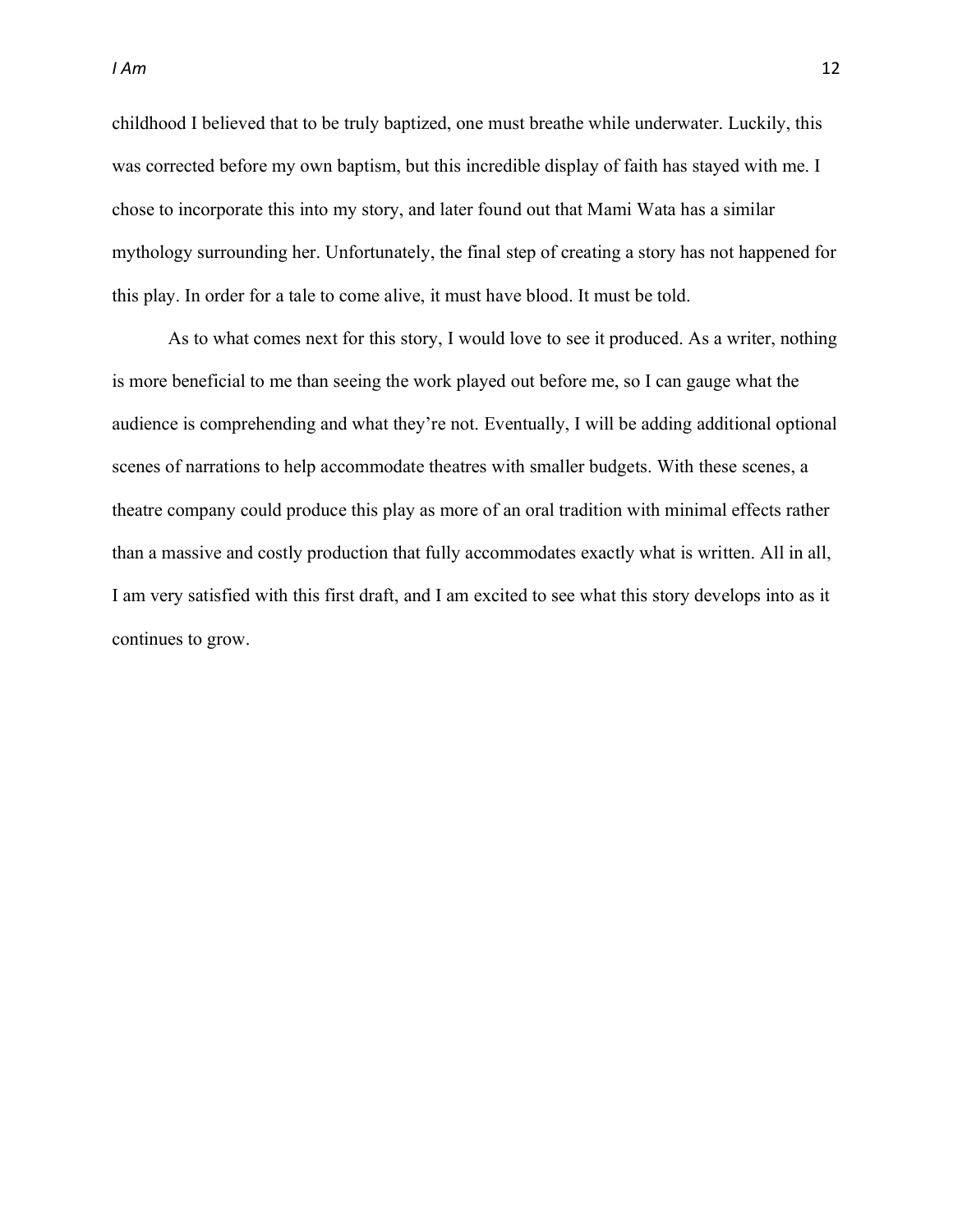childhood I believed that to be truly baptized, one must breathe while underwater. Luckily, this was corrected before my own baptism, but this incredible display of faith has stayed with me. I chose to incorporate this into my story, and later found out that Mami Wata has a similar mythology surrounding her. Unfortunately, the final step of creating a story has not happened for this play. In order for a tale to come alive, it must have blood. It must be told.

As to what comes next for this story, I would love to see it produced. As a writer, nothing is more beneficial to me than seeing the work played out before me, so I can gauge what the audience is comprehending and what they're not. Eventually, I will be adding additional optional scenes of narrations to help accommodate theatres with smaller budgets. With these scenes, a theatre company could produce this play as more of an oral tradition with minimal effects rather than a massive and costly production that fully accommodates exactly what is written. All in all, I am very satisfied with this first draft, and I am excited to see what this story develops into as it continues to grow.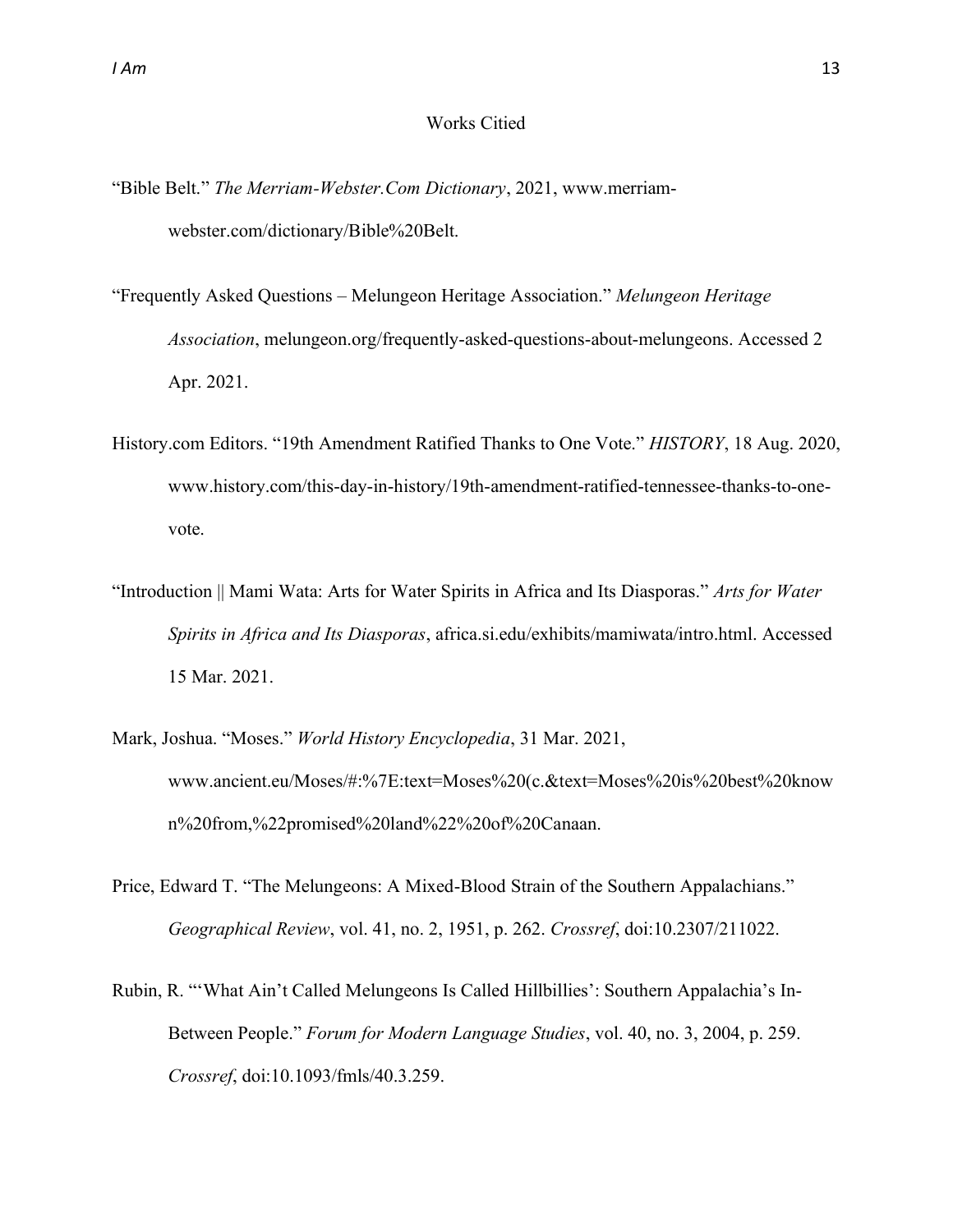#### Works Citied

- "Bible Belt." *The Merriam-Webster.Com Dictionary*, 2021, www.merriamwebster.com/dictionary/Bible%20Belt.
- ³Frequently Asked Questions ± Melungeon Heritage Association.´ *Melungeon Heritage Association*, melungeon.org/frequently-asked-questions-about-melungeons. Accessed 2 Apr. 2021.
- History.com Editors. ³19th Amendment Ratified Thanks to One Vote.´ *HISTORY*, 18 Aug. 2020, www.history.com/this-day-in-history/19th-amendment-ratified-tennessee-thanks-to-onevote.
- ³Introduction || Mami Wata: Arts for Water Spirits in Africa and Its Diasporas.´ *Arts for Water Spirits in Africa and Its Diasporas*, africa.si.edu/exhibits/mamiwata/intro.html. Accessed 15 Mar. 2021.
- Mark, Joshua. "Moses." World History Encyclopedia, 31 Mar. 2021, www.ancient.eu/Moses/#:%7E:text=Moses%20(c.&text=Moses%20is%20best%20know n%20from,%22promised%20land%22%20of%20Canaan.
- Price, Edward T. "The Melungeons: A Mixed-Blood Strain of the Southern Appalachians." *Geographical Review*, vol. 41, no. 2, 1951, p. 262. *Crossref*, doi:10.2307/211022.
- Rubin, R. "'What Ain't Called Melungeons Is Called Hillbillies': Southern Appalachia's In-Between People." *Forum for Modern Language Studies*, vol. 40, no. 3, 2004, p. 259. *Crossref*, doi:10.1093/fmls/40.3.259.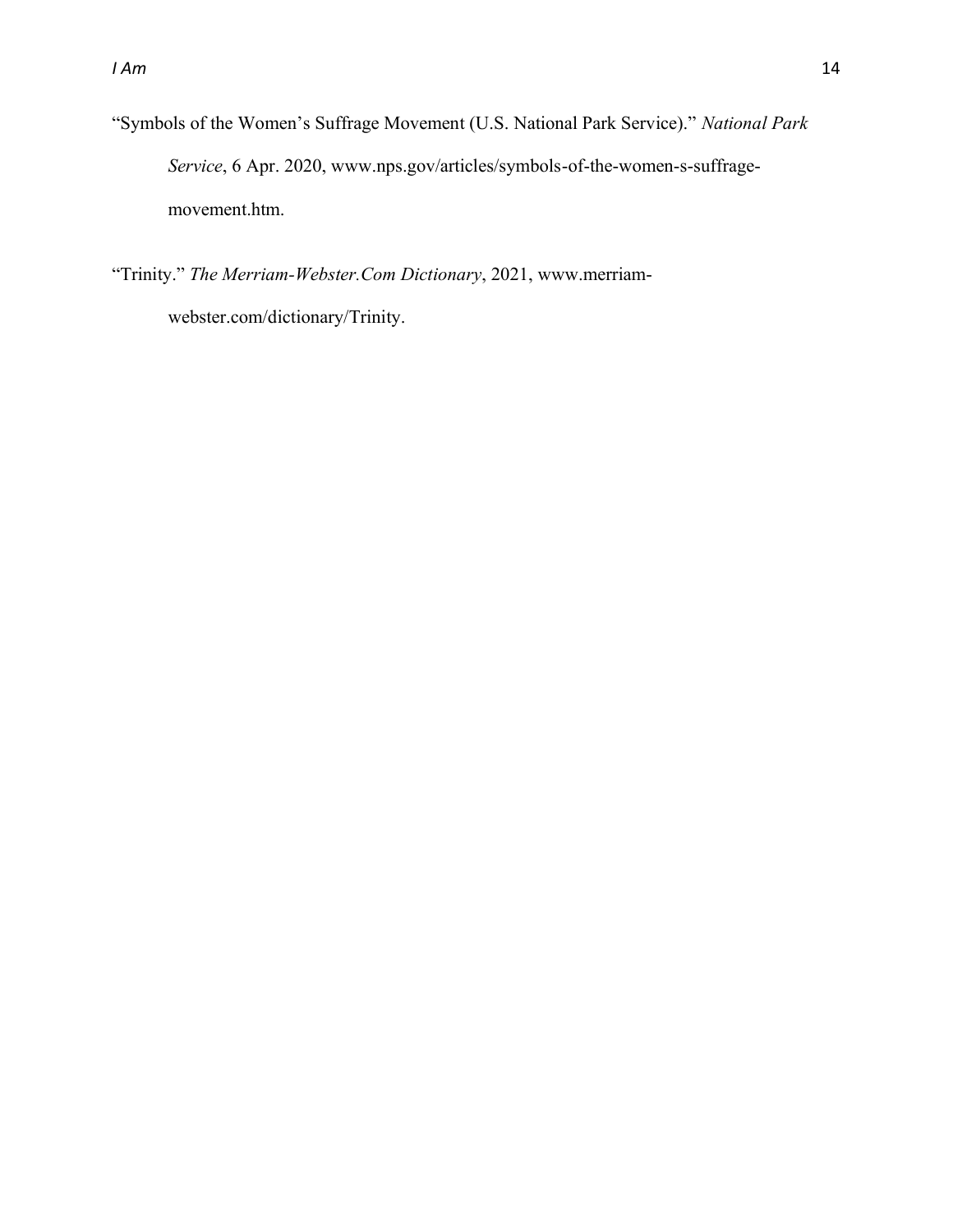³Symbols of the Women¶s Suffrage Movement (U.S. National Park Service).´ *National Park Service*, 6 Apr. 2020, www.nps.gov/articles/symbols-of-the-women-s-suffragemovement.htm.

³Trinity.´ *The Merriam-Webster.Com Dictionary*, 2021, www.merriamwebster.com/dictionary/Trinity.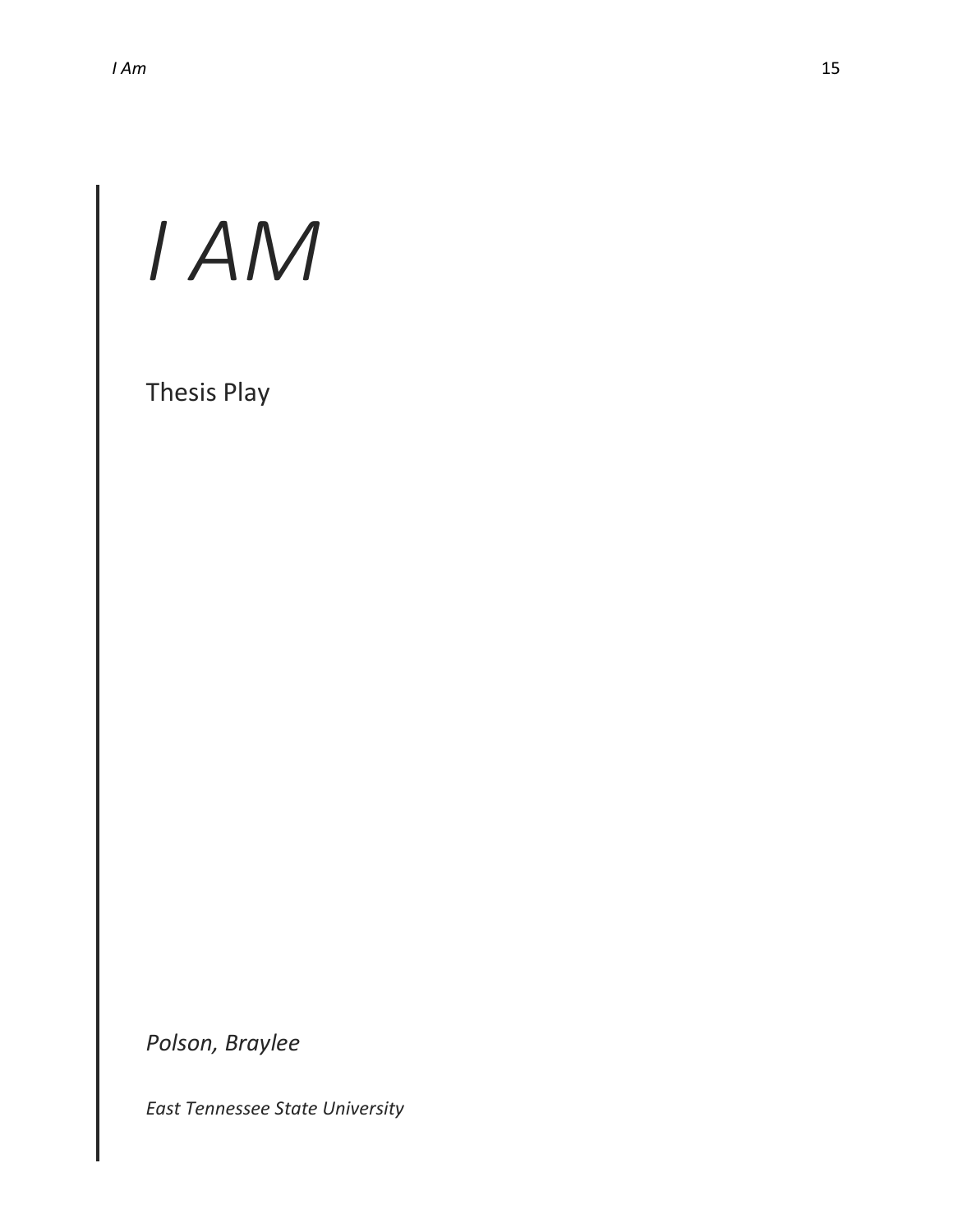# *I AM*

Thesis Play

*Polson, Braylee*

*East Tennessee State University*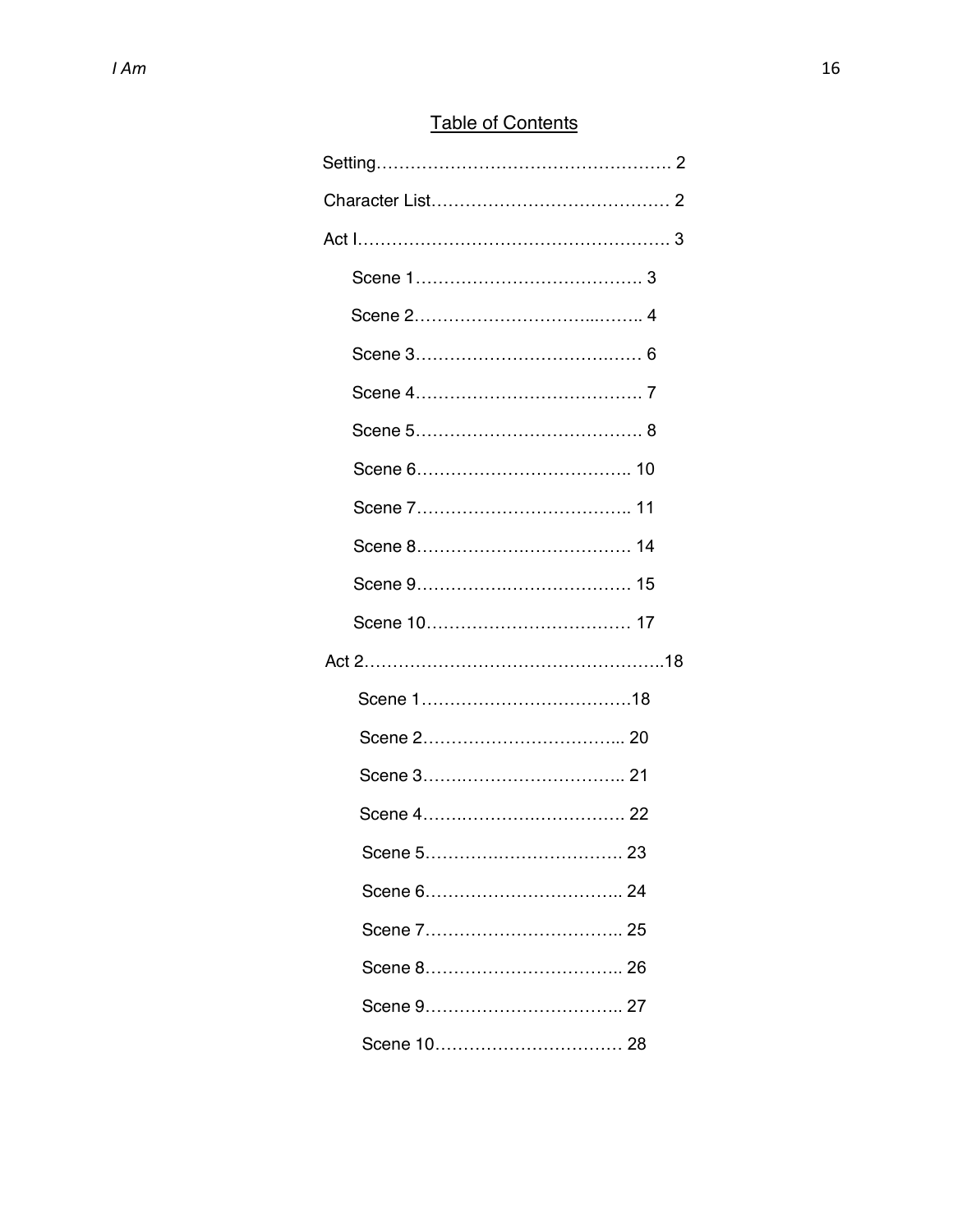# **Table of Contents**

| Scene 5……………………………… 23 |  |
|------------------------|--|
|                        |  |
|                        |  |
|                        |  |
|                        |  |
|                        |  |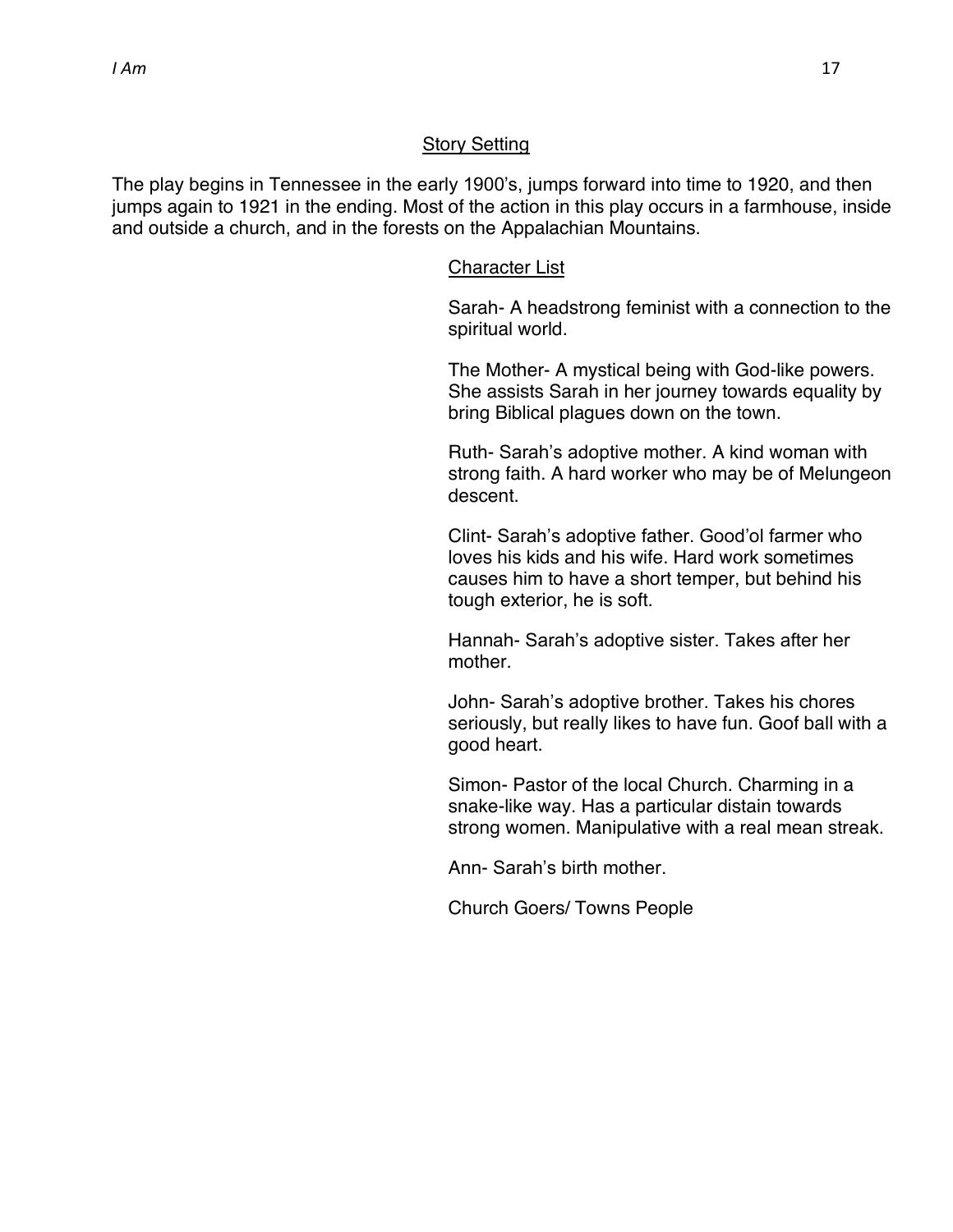#### Story Setting

The play begins in Tennessee in the early 1900's, jumps forward into time to 1920, and then jumps again to 1921 in the ending. Most of the action in this play occurs in a farmhouse, inside and outside a church, and in the forests on the Appalachian Mountains.

#### Character List

Sarah- A headstrong feminist with a connection to the spiritual world.

The Mother- A mystical being with God-like powers. She assists Sarah in her journey towards equality by bring Biblical plagues down on the town.

Ruth- Sarah's adoptive mother. A kind woman with strong faith. A hard worker who may be of Melungeon descent.

Clint- Sarah's adoptive father. Good'ol farmer who loves his kids and his wife. Hard work sometimes causes him to have a short temper, but behind his tough exterior, he is soft.

Hannah- Sarah's adoptive sister. Takes after her mother.

John- Sarah's adoptive brother. Takes his chores seriously, but really likes to have fun. Goof ball with a good heart.

Simon- Pastor of the local Church. Charming in a snake-like way. Has a particular distain towards strong women. Manipulative with a real mean streak.

Ann- Sarah's birth mother.

Church Goers/ Towns People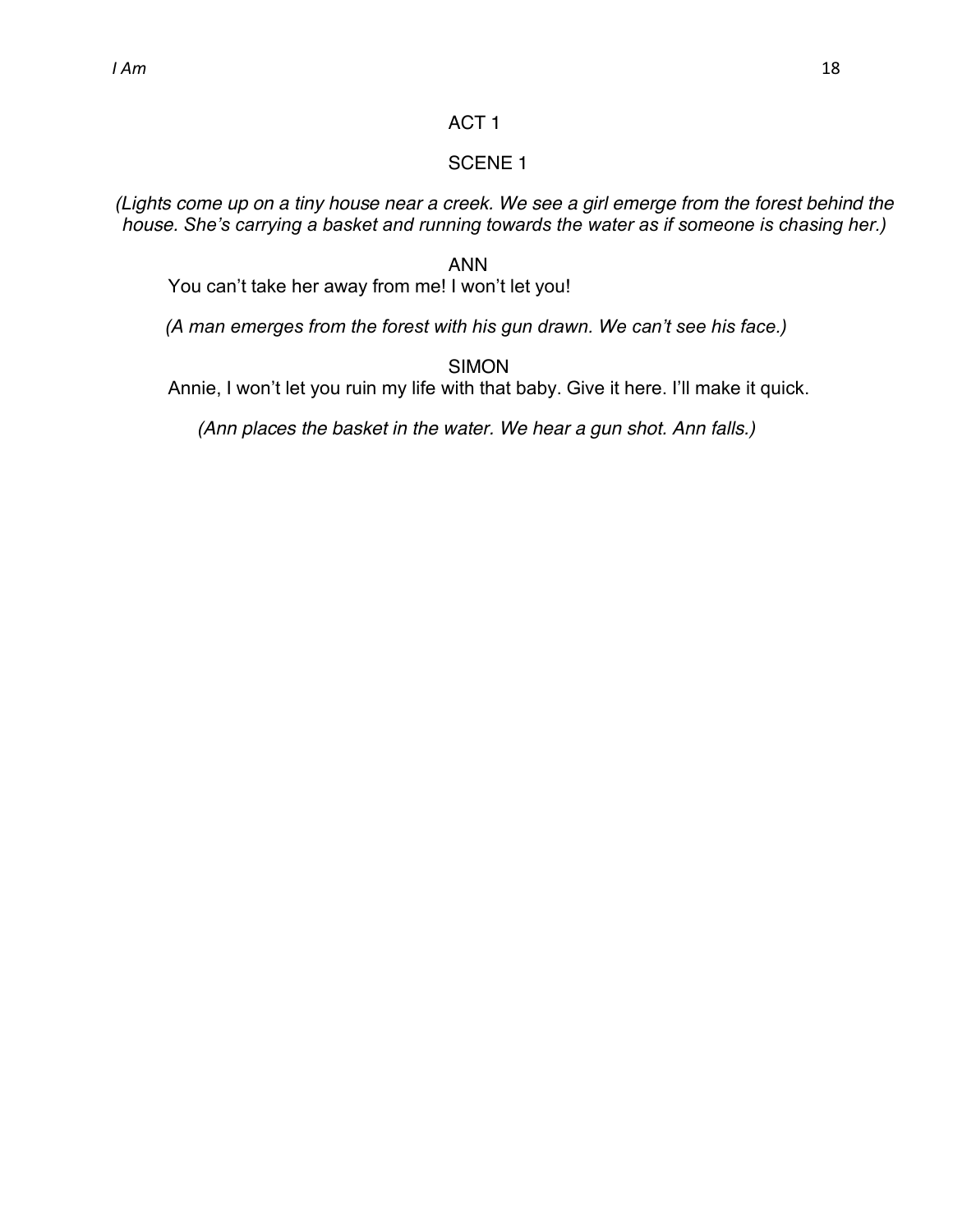# ACT 1

# SCENE 1

*(Lights come up on a tiny house near a creek. We see a girl emerge from the forest behind the house. She's carrying a basket and running towards the water as if someone is chasing her.)* 

# ANN

You can't take her away from me! I won't let you!

*(A man emerges from the forest with his gun drawn. We can't see his face.)* 

SIMON

Annie, I won't let you ruin my life with that baby. Give it here. I'll make it quick.

*(Ann places the basket in the water. We hear a gun shot. Ann falls.)*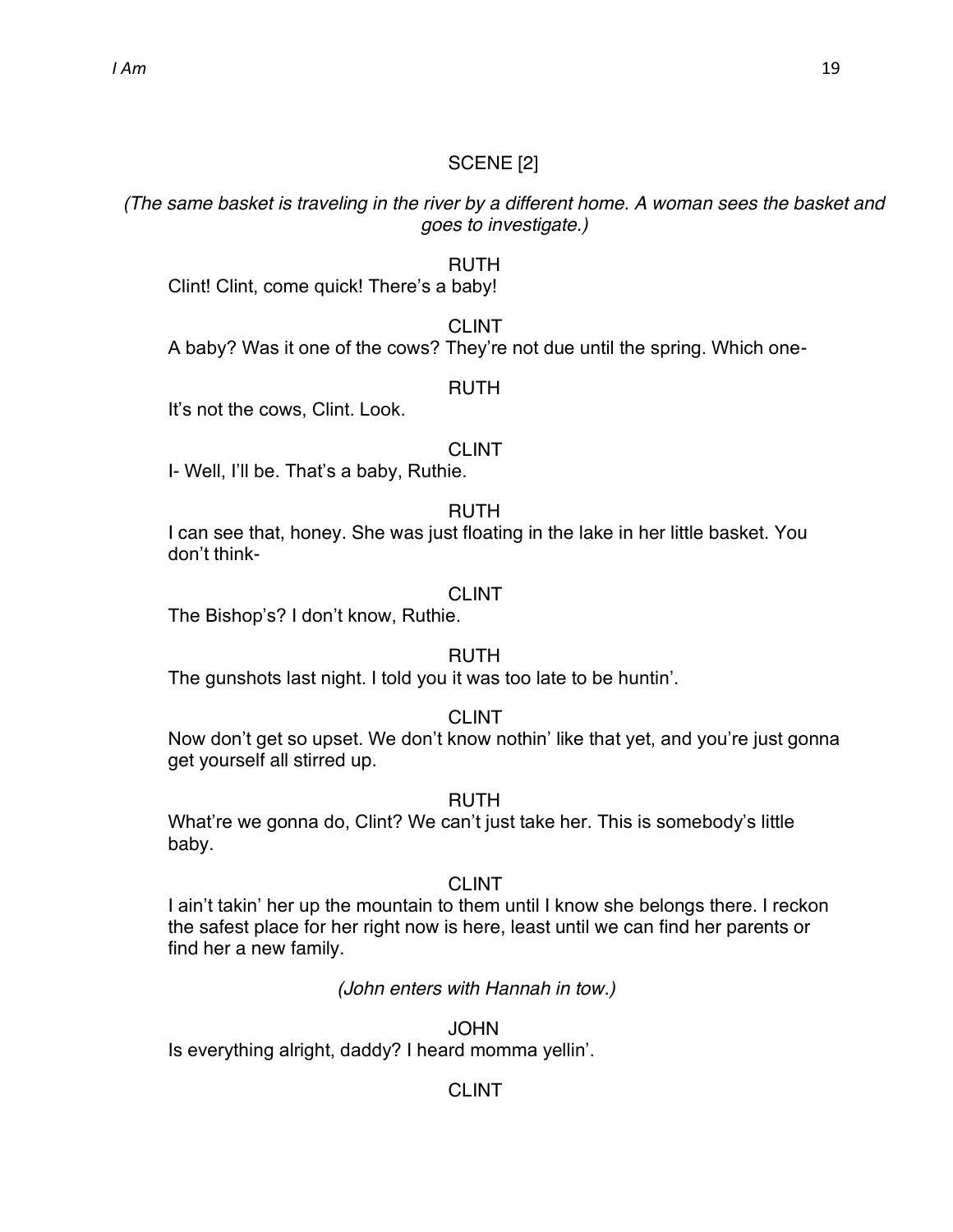# SCENE [2]

*(The same basket is traveling in the river by a different home. A woman sees the basket and goes to investigate.)*

# RUTH

Clint! Clint, come quick! There's a baby!

#### CLINT

A baby? Was it one of the cows? They're not due until the spring. Which one-

#### RUTH

It's not the cows, Clint. Look.

# CLINT

I- Well, I'll be. That's a baby, Ruthie.

#### RUTH

I can see that, honey. She was just floating in the lake in her little basket. You don't think-

#### CLINT

The Bishop's? I don't know, Ruthie.

#### RUTH

The gunshots last night. I told you it was too late to be huntin'.

#### CLINT

Now don't get so upset. We don't know nothin' like that yet, and you're just gonna get yourself all stirred up.

#### RUTH

What're we gonna do, Clint? We can't just take her. This is somebody's little baby.

# CLINT

I ain't takin' her up the mountain to them until I know she belongs there. I reckon the safest place for her right now is here, least until we can find her parents or find her a new family.

# *(John enters with Hannah in tow.)*

**JOHN** Is everything alright, daddy? I heard momma yellin'.

# CLINT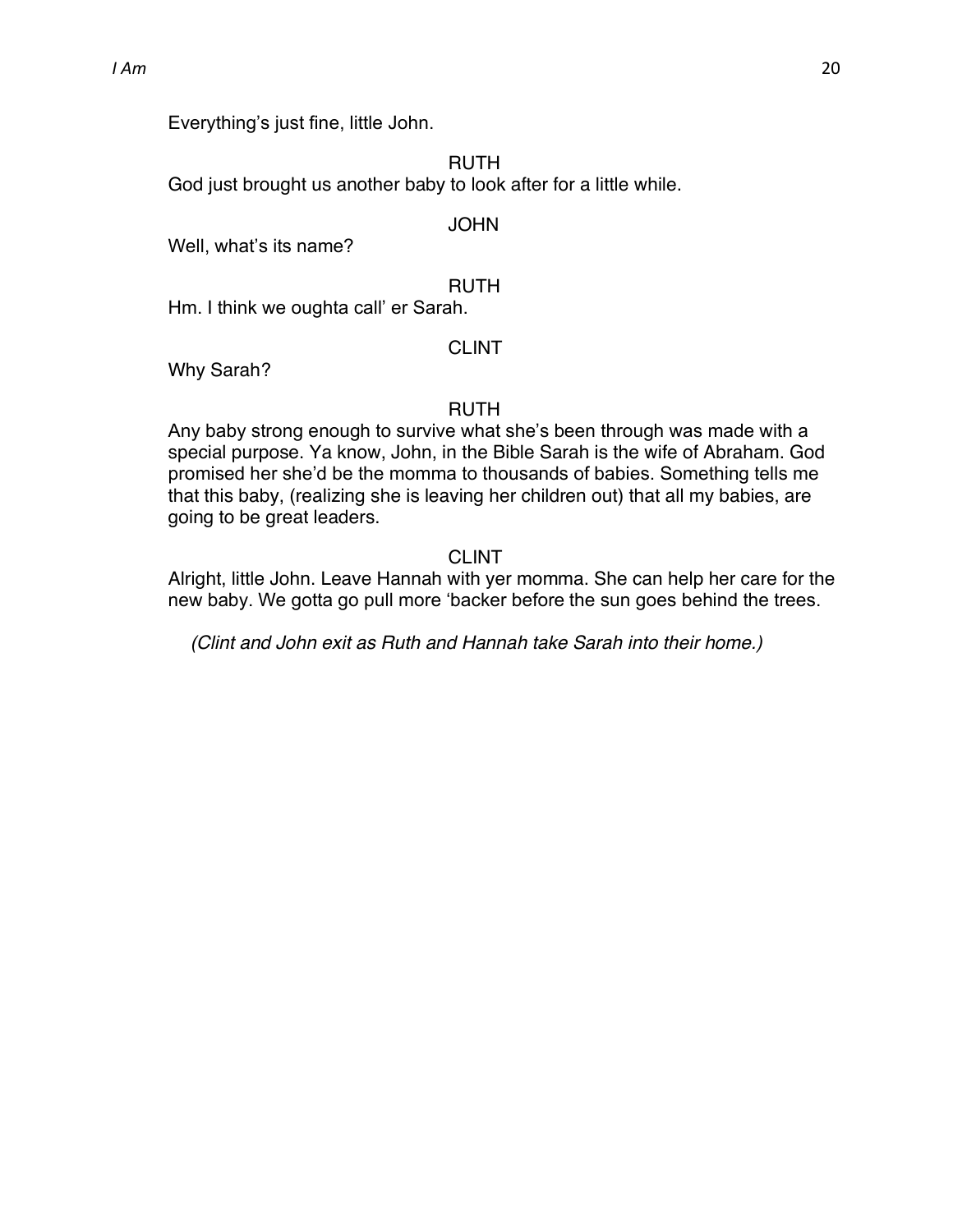Everything's just fine, little John.

RUTH

God just brought us another baby to look after for a little while.

#### **JOHN**

Well, what's its name?

#### RUTH

Hm. I think we oughta call' er Sarah.

#### CLINT

Why Sarah?

#### RUTH

Any baby strong enough to survive what she's been through was made with a special purpose. Ya know, John, in the Bible Sarah is the wife of Abraham. God promised her she'd be the momma to thousands of babies. Something tells me that this baby, (realizing she is leaving her children out) that all my babies, are going to be great leaders.

#### CLINT

Alright, little John. Leave Hannah with yer momma. She can help her care for the new baby. We gotta go pull more 'backer before the sun goes behind the trees.

*(Clint and John exit as Ruth and Hannah take Sarah into their home.)*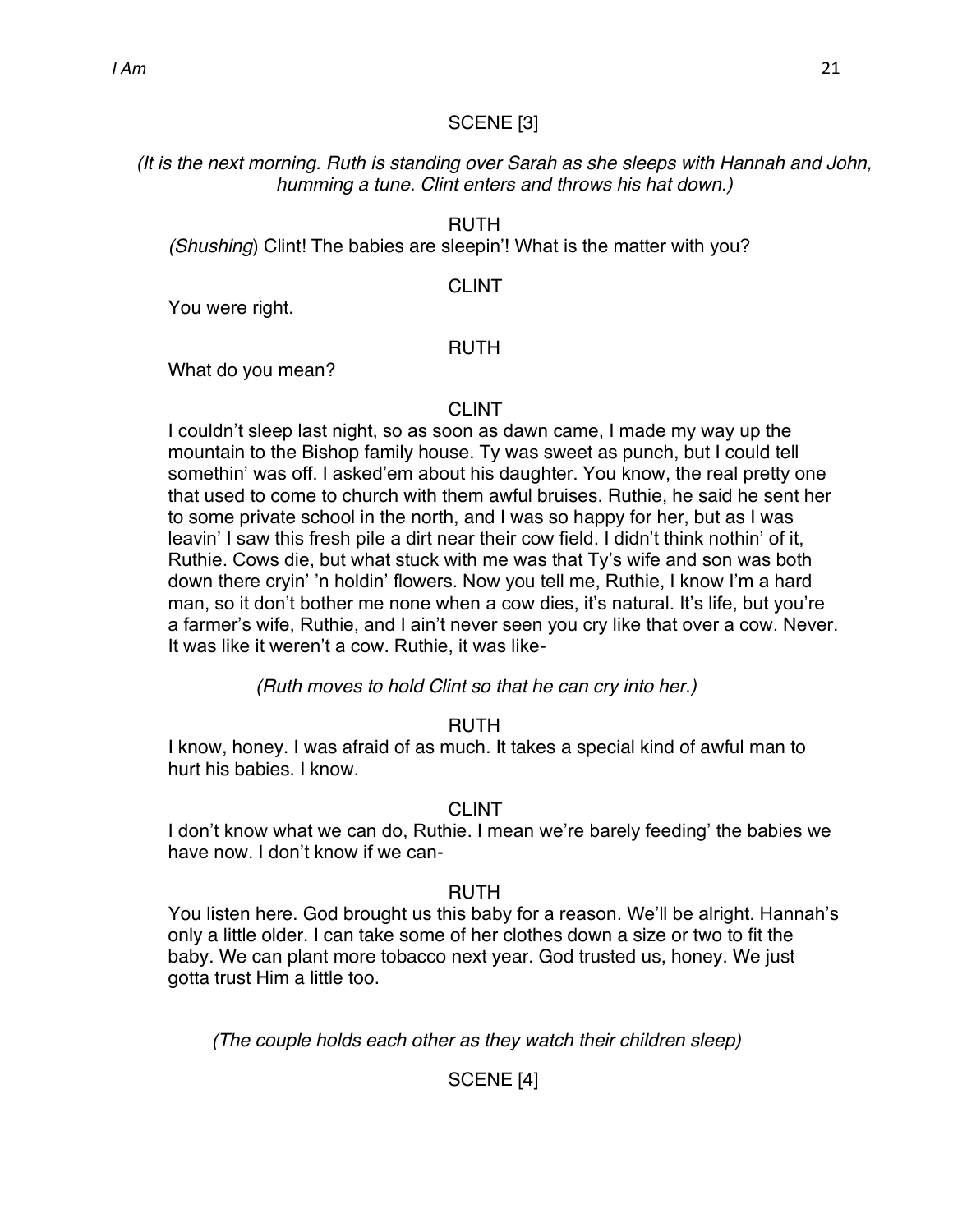#### SCENE [3]

# *(It is the next morning. Ruth is standing over Sarah as she sleeps with Hannah and John, humming a tune. Clint enters and throws his hat down.)*

#### RUTH

*(Shushing)* Clint! The babies are sleepin'! What is the matter with you?

#### CLINT

You were right.

#### RUTH

What do you mean?

#### CLINT

I couldn't sleep last night, so as soon as dawn came, I made my way up the mountain to the Bishop family house. Ty was sweet as punch, but I could tell somethin' was off. I asked'em about his daughter. You know, the real pretty one that used to come to church with them awful bruises. Ruthie, he said he sent her to some private school in the north, and I was so happy for her, but as I was leavin' I saw this fresh pile a dirt near their cow field. I didn't think nothin' of it, Ruthie. Cows die, but what stuck with me was that Ty's wife and son was both down there cryin' 'n holdin' flowers. Now you tell me, Ruthie, I know I'm a hard man, so it don't bother me none when a cow dies, it's natural. It's life, but you're a farmer's wife, Ruthie, and I ain't never seen you cry like that over a cow. Never. It was like it weren't a cow. Ruthie, it was like-

*(Ruth moves to hold Clint so that he can cry into her.)*

# RUTH

I know, honey. I was afraid of as much. It takes a special kind of awful man to hurt his babies. I know.

# CLINT

I don't know what we can do, Ruthie. I mean we're barely feeding' the babies we have now. I don't know if we can-

# RUTH

You listen here. God brought us this baby for a reason. We'll be alright. Hannah's only a little older. I can take some of her clothes down a size or two to fit the baby. We can plant more tobacco next year. God trusted us, honey. We just gotta trust Him a little too.

*(The couple holds each other as they watch their children sleep)*

# SCENE [4]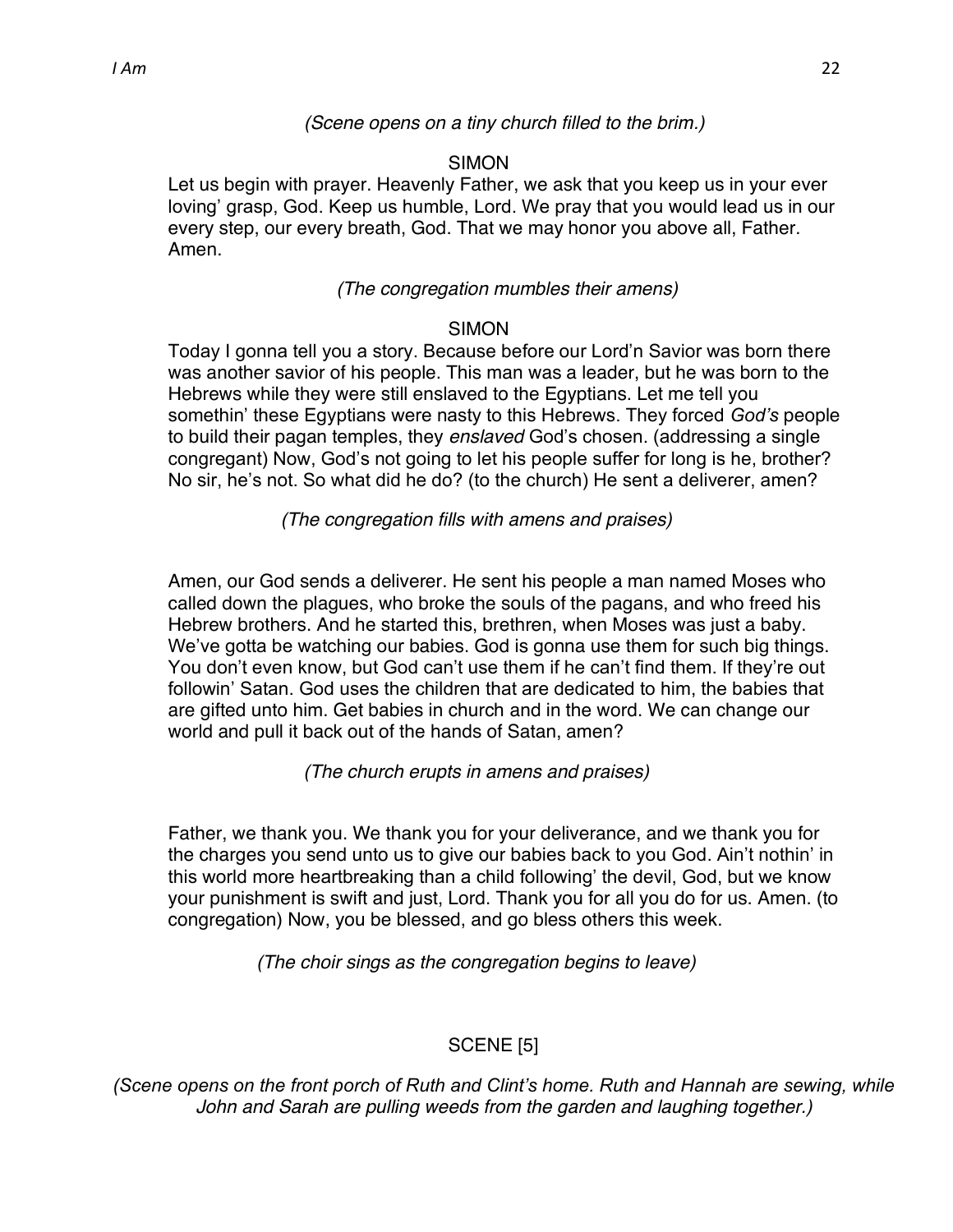#### *(Scene opens on a tiny church filled to the brim.)*

#### SIMON

Let us begin with prayer. Heavenly Father, we ask that you keep us in your ever loving' grasp, God. Keep us humble, Lord. We pray that you would lead us in our every step, our every breath, God. That we may honor you above all, Father. Amen.

#### *(The congregation mumbles their amens)*

#### SIMON

Today I gonna tell you a story. Because before our Lord'n Savior was born there was another savior of his people. This man was a leader, but he was born to the Hebrews while they were still enslaved to the Egyptians. Let me tell you somethin' these Egyptians were nasty to this Hebrews. They forced *God's* people to build their pagan temples, they *enslaved* God's chosen. (addressing a single congregant) Now, God's not going to let his people suffer for long is he, brother? No sir, he's not. So what did he do? (to the church) He sent a deliverer, amen?

*(The congregation fills with amens and praises)*

Amen, our God sends a deliverer. He sent his people a man named Moses who called down the plagues, who broke the souls of the pagans, and who freed his Hebrew brothers. And he started this, brethren, when Moses was just a baby. We've gotta be watching our babies. God is gonna use them for such big things. You don't even know, but God can't use them if he can't find them. If they're out followin' Satan. God uses the children that are dedicated to him, the babies that are gifted unto him. Get babies in church and in the word. We can change our world and pull it back out of the hands of Satan, amen?

*(The church erupts in amens and praises)*

Father, we thank you. We thank you for your deliverance, and we thank you for the charges you send unto us to give our babies back to you God. Ain't nothin' in this world more heartbreaking than a child following' the devil, God, but we know your punishment is swift and just, Lord. Thank you for all you do for us. Amen. (to congregation) Now, you be blessed, and go bless others this week.

*(The choir sings as the congregation begins to leave)*

# SCENE [5]

*(Scene opens on the front porch of Ruth and Clint's home. Ruth and Hannah are sewing, while John and Sarah are pulling weeds from the garden and laughing together.)*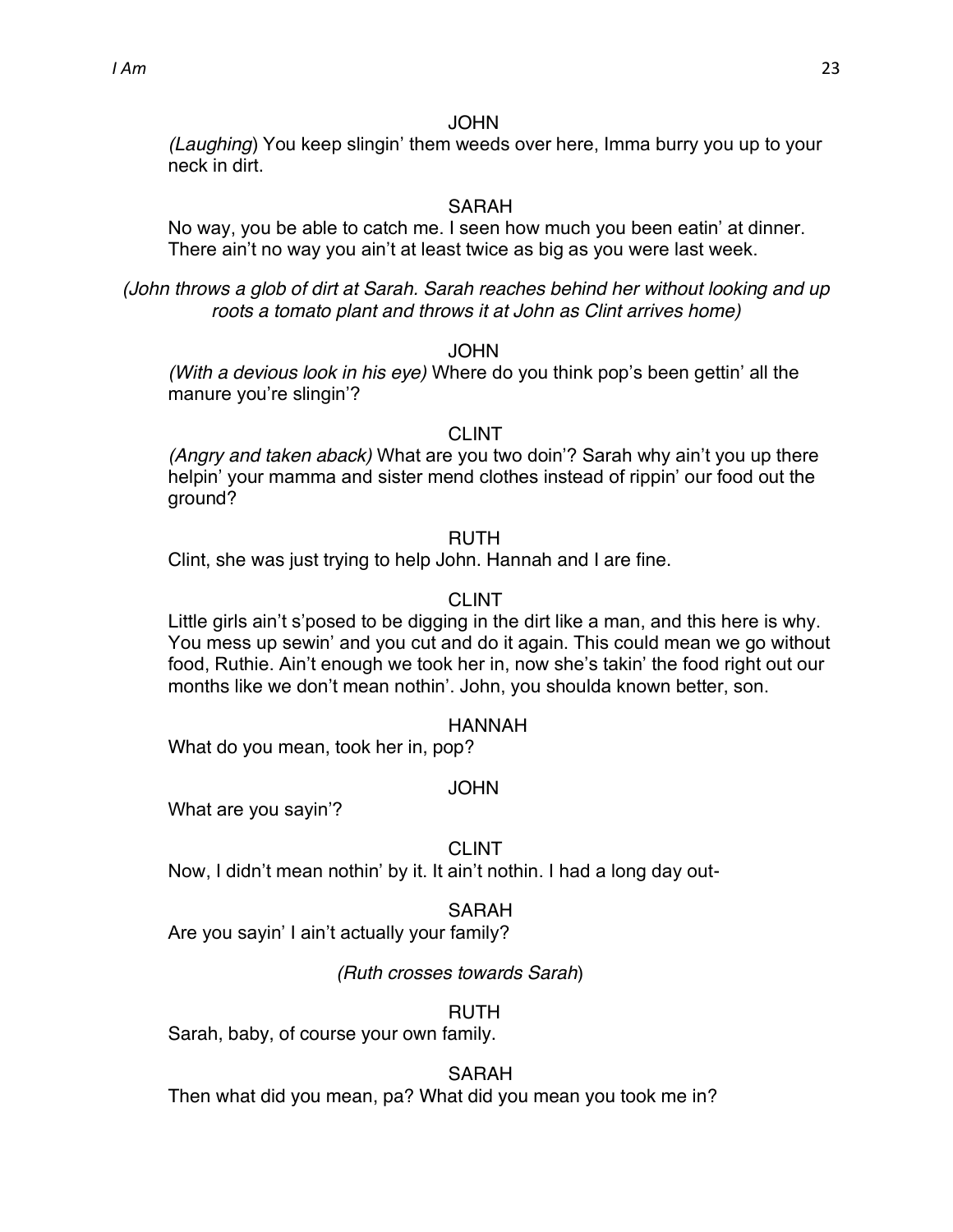*(Laughing*) You keep slingin' them weeds over here, Imma burry you up to your neck in dirt.

#### SARAH

No way, you be able to catch me. I seen how much you been eatin' at dinner. There ain't no way you ain't at least twice as big as you were last week.

*(John throws a glob of dirt at Sarah. Sarah reaches behind her without looking and up roots a tomato plant and throws it at John as Clint arrives home)*

#### JOHN

*(With a devious look in his eye)* Where do you think pop's been gettin' all the manure you're slingin'?

#### CLINT

*(Angry and taken aback)* What are you two doin<sup>?</sup> Sarah why ain't you up there helpin' your mamma and sister mend clothes instead of rippin' our food out the ground?

#### RUTH

Clint, she was just trying to help John. Hannah and I are fine.

# CLINT

Little girls ain't s'posed to be digging in the dirt like a man, and this here is why. You mess up sewin' and you cut and do it again. This could mean we go without food, Ruthie. Ain't enough we took her in, now she's takin' the food right out our months like we don't mean nothin'. John, you shoulda known better, son.

#### HANNAH

What do you mean, took her in, pop?

#### JOHN

What are you sayin'?

#### CLINT

Now, I didn't mean nothin' by it. It ain't nothin. I had a long day out-

#### SARAH

Are you sayin' I ain't actually your family?

# *(Ruth crosses towards Sarah*)

# RUTH

Sarah, baby, of course your own family.

# SARAH

Then what did you mean, pa? What did you mean you took me in?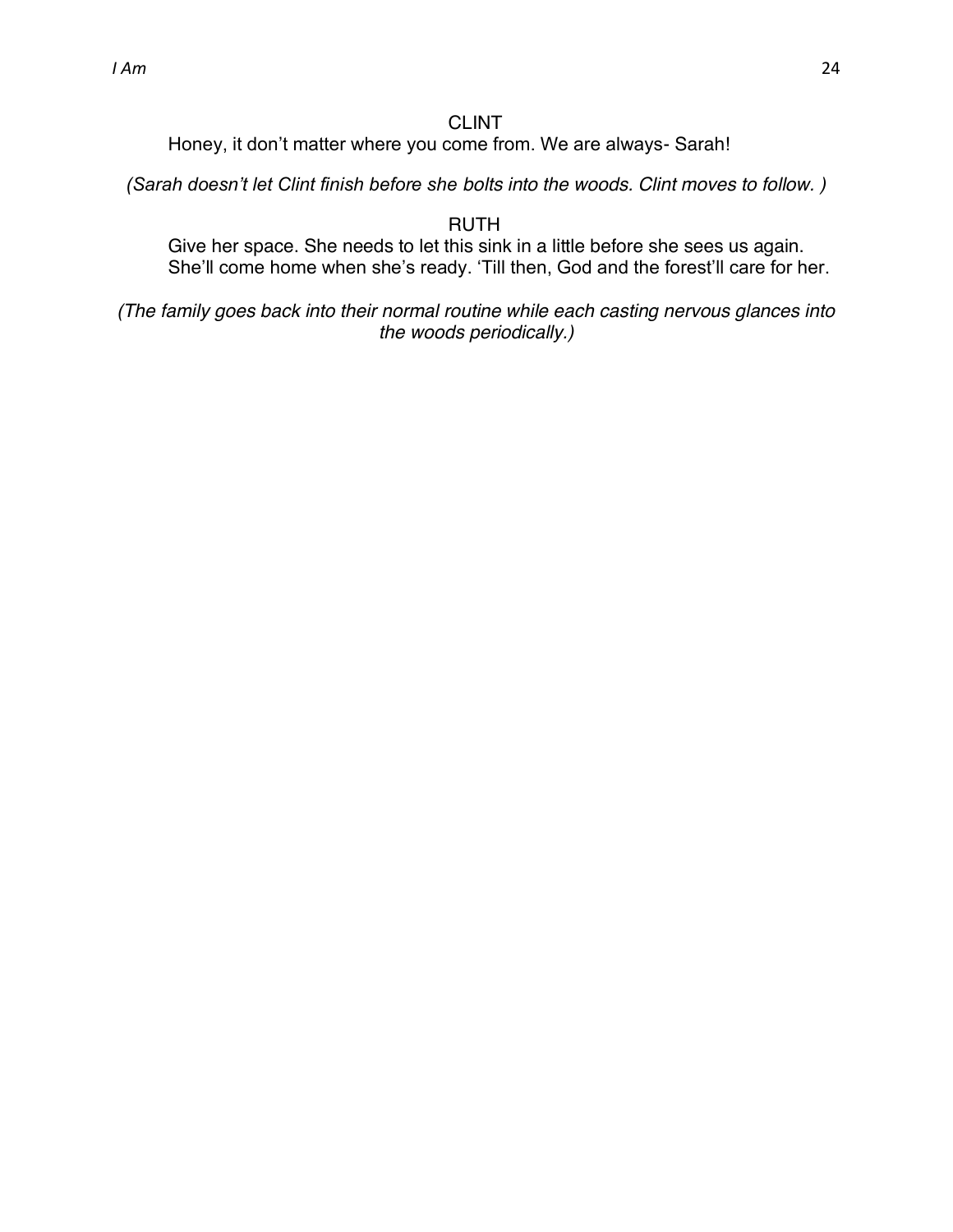# CLINT

Honey, it don't matter where you come from. We are always- Sarah!

*(Sarah doesn't let Clint finish before she bolts into the woods. Clint moves to follow.)* 

RUTH

Give her space. She needs to let this sink in a little before she sees us again. She'll come home when she's ready. 'Till then, God and the forest'll care for her.

*(The family goes back into their normal routine while each casting nervous glances into the woods periodically.)*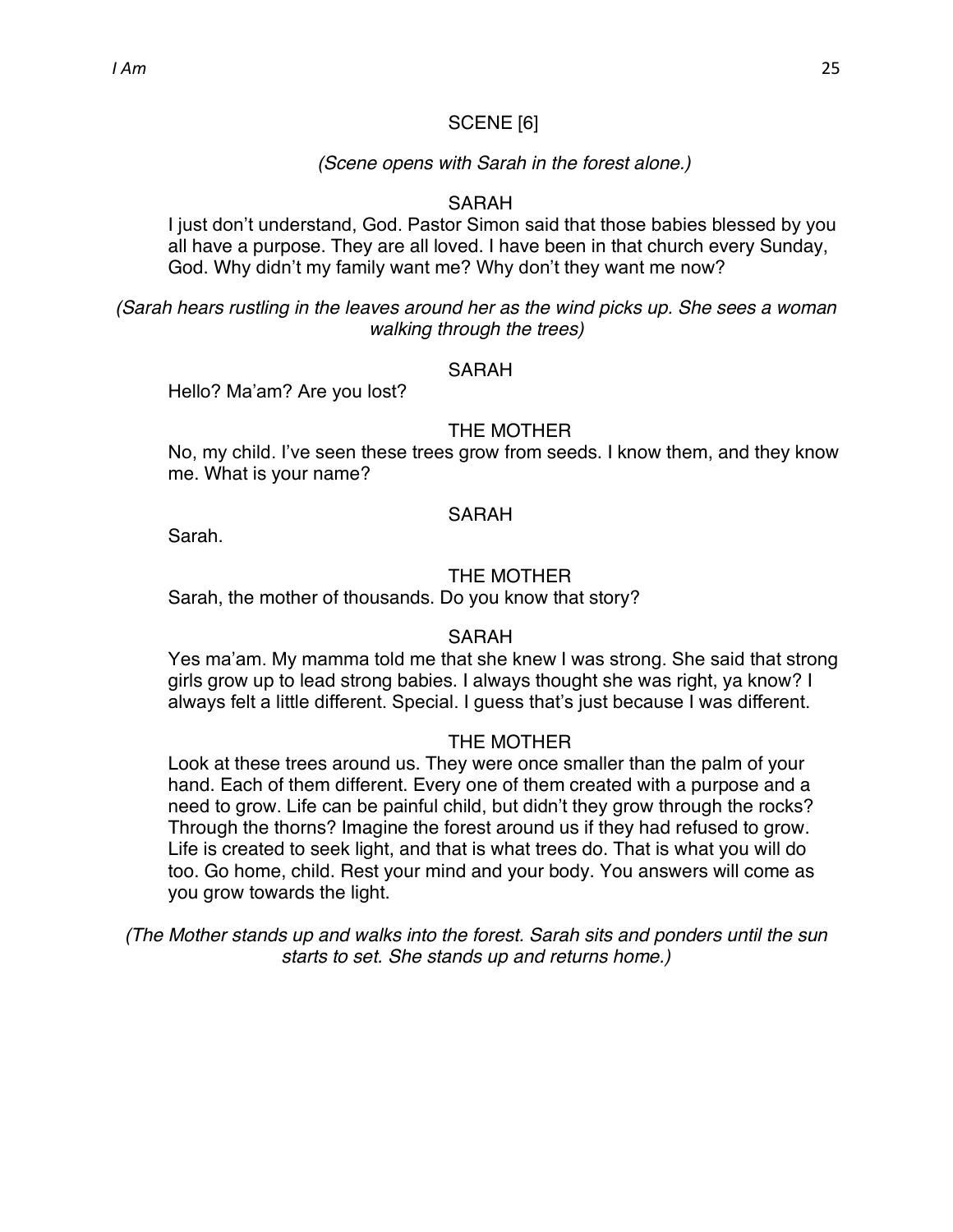#### SCENE [6]

#### *(Scene opens with Sarah in the forest alone.)*

#### SARAH

I just don't understand, God. Pastor Simon said that those babies blessed by you all have a purpose. They are all loved. I have been in that church every Sunday, God. Why didn't my family want me? Why don't they want me now?

*(Sarah hears rustling in the leaves around her as the wind picks up. She sees a woman walking through the trees)*

#### **SARAH**

Hello? Ma'am? Are you lost?

#### THE MOTHER

No, my child. I've seen these trees grow from seeds. I know them, and they know [me.](scrivlnk://40F1D516-F838-44E1-9240-8583DFB59EDA/) What is your name?

#### **SARAH**

Sarah.

#### THE MOTHER

Sarah, the mother of thousands. Do you know that story?

#### SARAH

Yes ma'am. My mamma told me that she knew I was strong. She said that strong girls grow up to lead strong babies. I always thought she was right, ya know? I always felt a little different. Special. I guess that's just because I was different.

#### THE MOTHER

Look at these trees around us. They were once smaller than the palm of your hand. Each of them different. Every one of them created with a purpose and a need to grow. Life can be painful child, but didn't they grow through the rocks? Through the thorns? Imagine the forest around us if they had refused to grow. Life is created to seek light, and that is what trees do. That is what you will do too. Go home, child. Rest your mind and your body. You answers will come as you grow towards the light.

*(The Mother stands up and walks into the forest. Sarah sits and ponders until the sun starts to set. She stands up and returns home.)*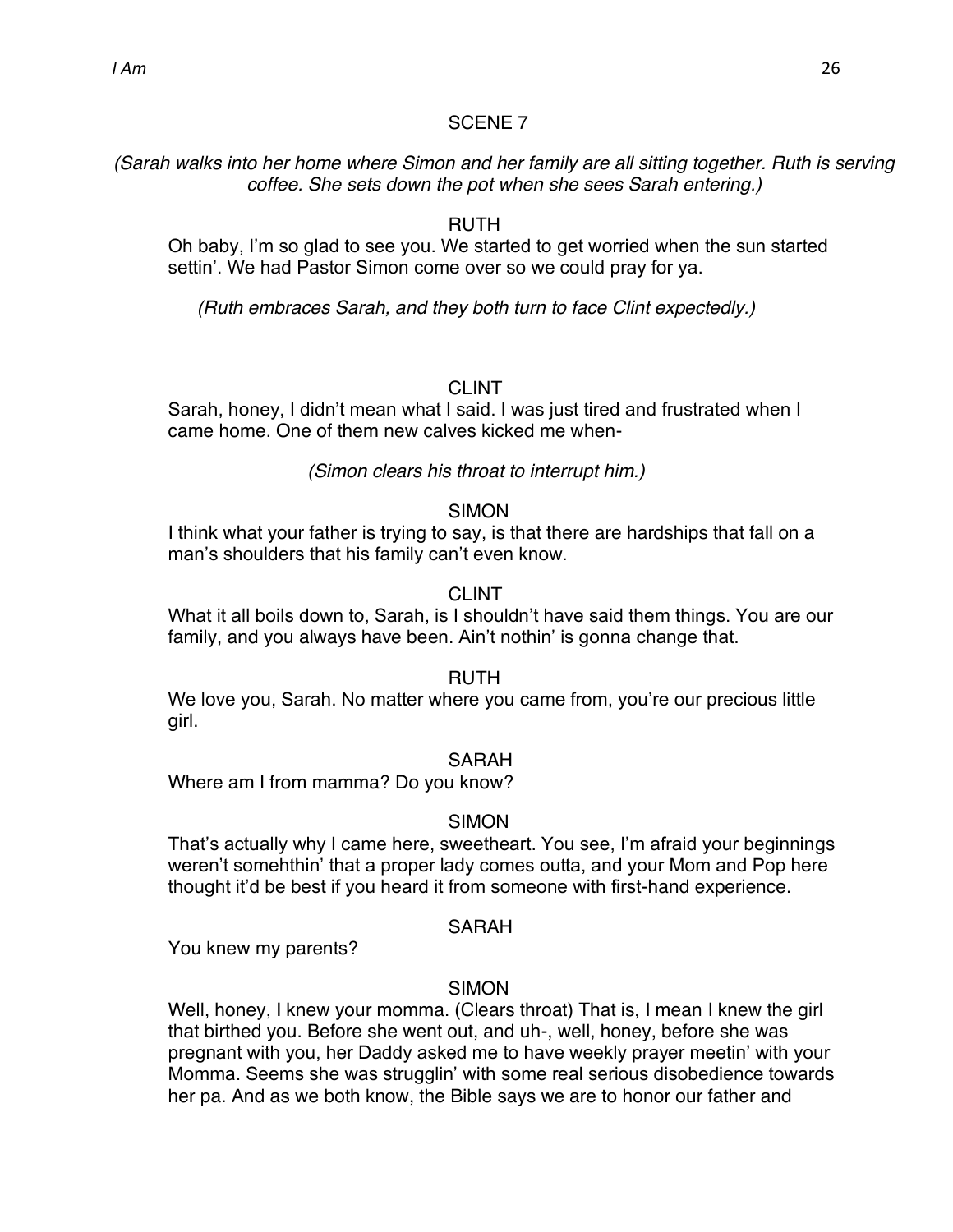*(Sarah walks into her home where Simon and her family are all sitting together. Ruth is serving coffee. She sets down the pot when she sees Sarah entering.)*

#### RUTH

Oh baby, I'm so glad to see you. We started to get worried when the sun started settin'. We had Pastor Simon come over so we could pray for ya.

*(Ruth embraces Sarah, and they both turn to face Clint expectedly.)*

#### CLINT

Sarah, honey, I didn't mean what I said. I was just tired and frustrated when I came home. One of them new calves kicked me when-

#### *(Simon clears his throat to interrupt him.)*

#### **SIMON**

I think what your father is trying to say, is that there are hardships that fall on a man's shoulders that his family can't even know.

#### CLINT

What it all boils down to, Sarah, is I shouldn't have said them things. You are our family, and you always have been. Ain't nothin' is gonna change that.

#### RUTH

We love you, Sarah. No matter where you came from, you're our precious little girl.

#### SARAH

Where am I from mamma? Do you know?

#### SIMON

That's actually why I came here, sweetheart. You see, I'm afraid your beginnings weren't somehthin' that a proper lady comes outta, and your Mom and Pop here thought it'd be best if you heard it from someone with first-hand experience.

#### SARAH

You knew my parents?

#### SIMON

Well, honey, I knew your momma. (Clears throat) That is, I mean I knew the girl that birthed you. Before she went out, and uh-, well, honey, before she was pregnant with you, her Daddy asked me to have weekly prayer meetin' with your Momma. Seems she was strugglin' with some real serious disobedience towards her pa. And as we both know, the Bible says we are to honor our father and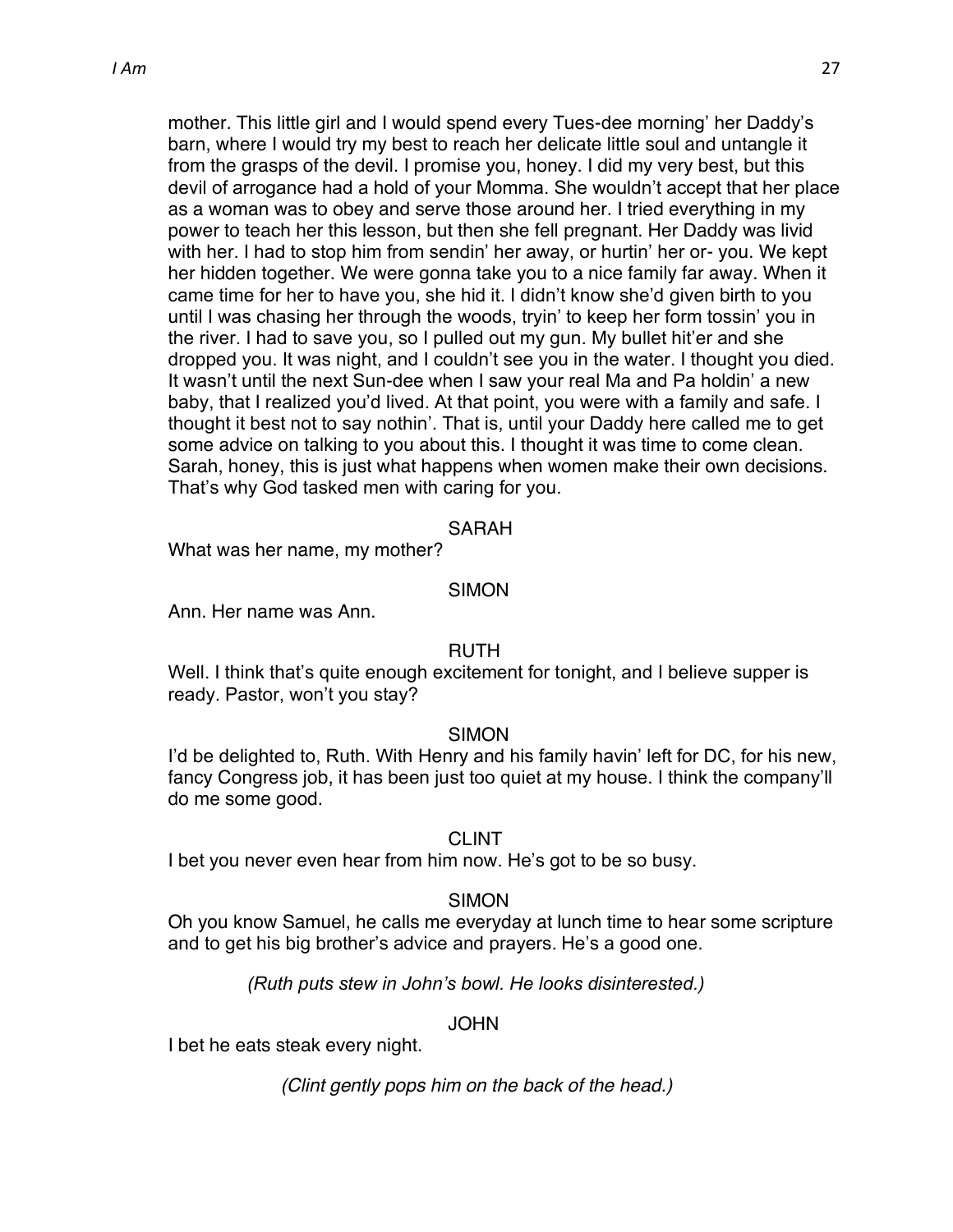mother. This little girl and I would spend every Tues-dee morning' her Daddy's barn, where I would try my best to reach her delicate little soul and untangle it from the grasps of the devil. I promise you, honey. I did my very best, but this devil of arrogance had a hold of your Momma. She wouldn't accept that her place as a woman was to obey and serve those around her. I tried everything in my power to teach her this lesson, but then she fell pregnant. Her Daddy was livid with her. I had to stop him from sendin' her away, or hurtin' her or- you. We kept her hidden together. We were gonna take you to a nice family far away. When it came time for her to have you, she hid it. I didn't know she'd given birth to you until I was chasing her through the woods, tryin' to keep her form tossin' you in the river. I had to save you, so I pulled out my gun. My bullet hit'er and she dropped you. It was night, and I couldn't see you in the water. I thought you died. It wasn't until the next Sun-dee when I saw your real Ma and Pa holdin' a new baby, that I realized you'd lived. At that point, you were with a family and safe. I thought it best not to say nothin'. That is, until your Daddy here called me to get some advice on talking to you about this. I thought it was time to come clean. Sarah, honey, this is just what happens when women make their own decisions. That's why God tasked men with caring for you.

#### SARAH

What was her name, my mother?

#### SIMON

Ann. Her name was Ann.

#### RUTH

Well. I think that's quite enough excitement for tonight, and I believe supper is ready. Pastor, won't you stay?

#### SIMON

I'd be delighted to, Ruth. With Henry and his family havin' left for DC, for his new, fancy Congress job, it has been just too quiet at my house. I think the company'll do me some good.

#### CLINT

I bet you never even hear from him now. He's got to be so busy.

#### SIMON

Oh you know Samuel, he calls me everyday at lunch time to hear some scripture and to get his big brother's advice and prayers. He's a good one.

*(Ruth puts stew in John's bowl. He looks disinterested.)* 

#### JOHN

I bet he eats steak every night.

*(Clint gently pops him on the back of the head.)*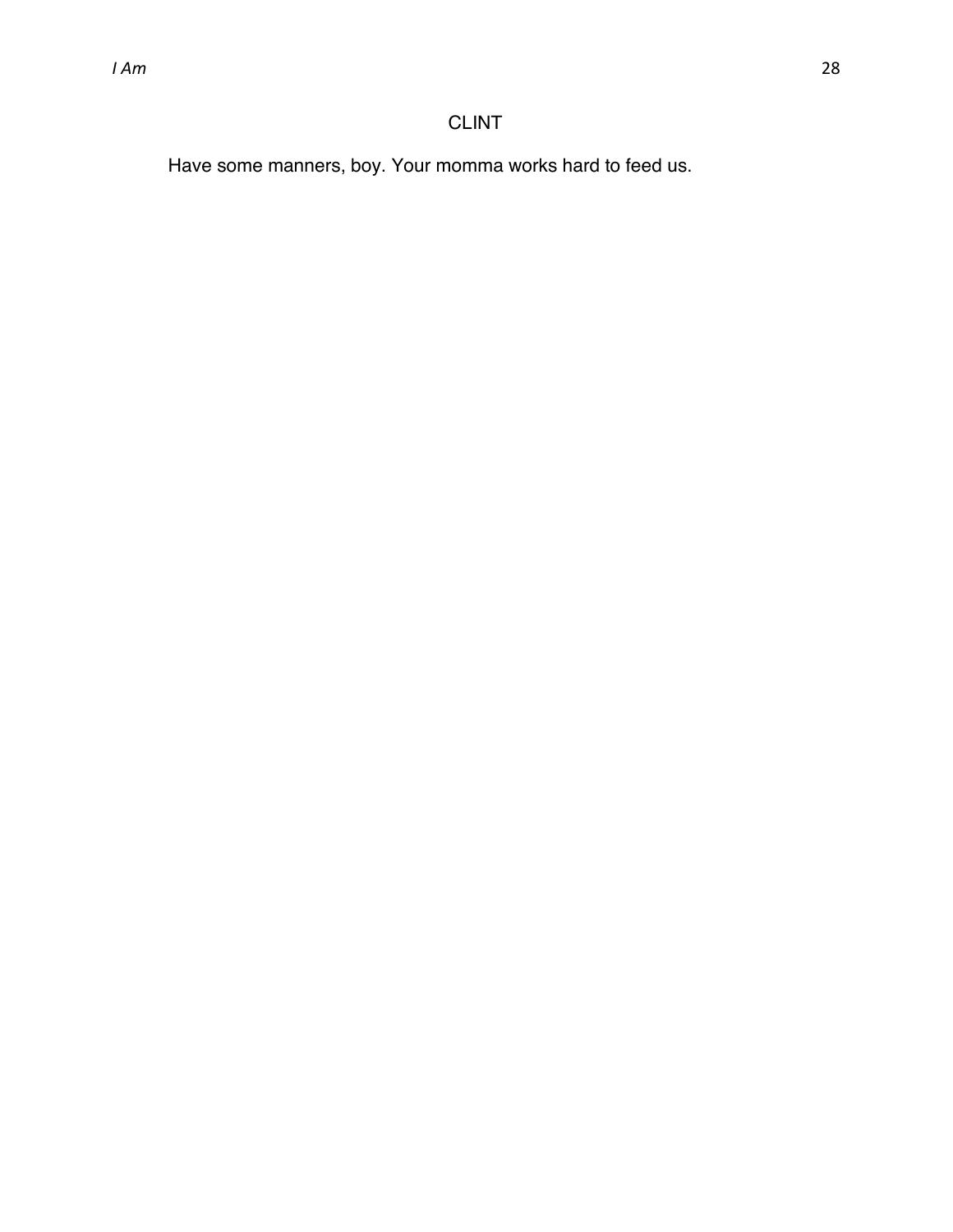# CLINT

Have some manners, boy. Your momma works hard to feed us.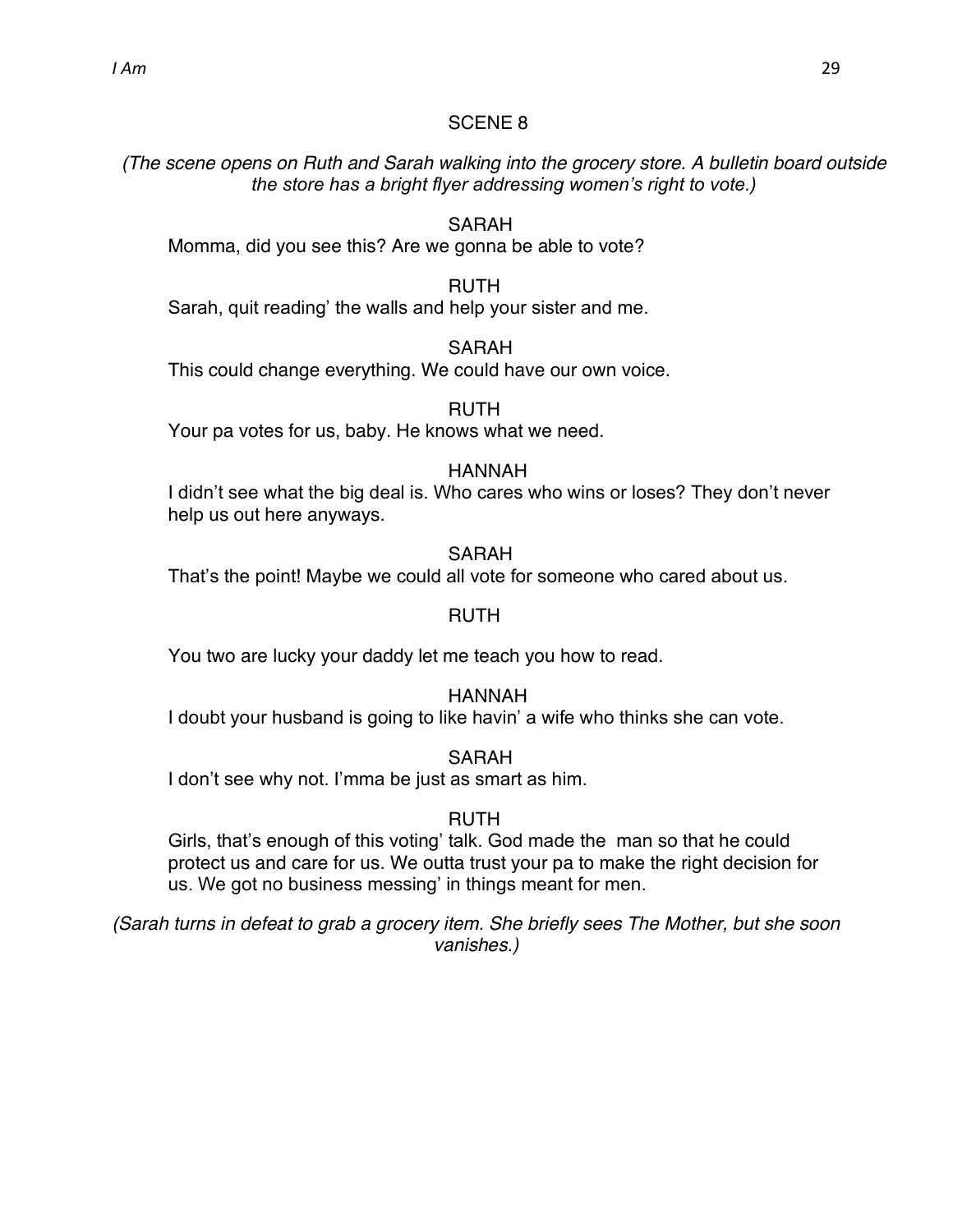*(The scene opens on Ruth and Sarah walking into the grocery store. A bulletin board outside the store has a bright flyer addressing women's right to vote.)* 

# SARAH

Momma, did you see this? Are we gonna be able to vote?

#### RUTH

Sarah, quit reading' the walls and help your sister and me.

#### SARAH

This could change everything. We could have our own voice.

RUTH

Your pa votes for us, baby. He knows what we need.

#### HANNAH

I didn't see what the big deal is. Who cares who wins or loses? They don't never help us out here anyways.

#### SARAH

That's the point! Maybe we could all vote for someone who cared about us.

#### RUTH

You two are lucky your daddy let me teach you how to read.

#### HANNAH

I doubt your husband is going to like havin' a wife who thinks she can vote.

#### SARAH

I don't see why not. I'mma be just as smart as him.

#### RUTH

Girls, that's enough of this voting' talk. God made the man so that he could protect us and care for us. We outta trust your pa to make the right decision for us. We got no business messing' in things meant for men.

*(Sarah turns in defeat to grab a grocery item. She briefly sees The Mother, but she soon vanishes.)*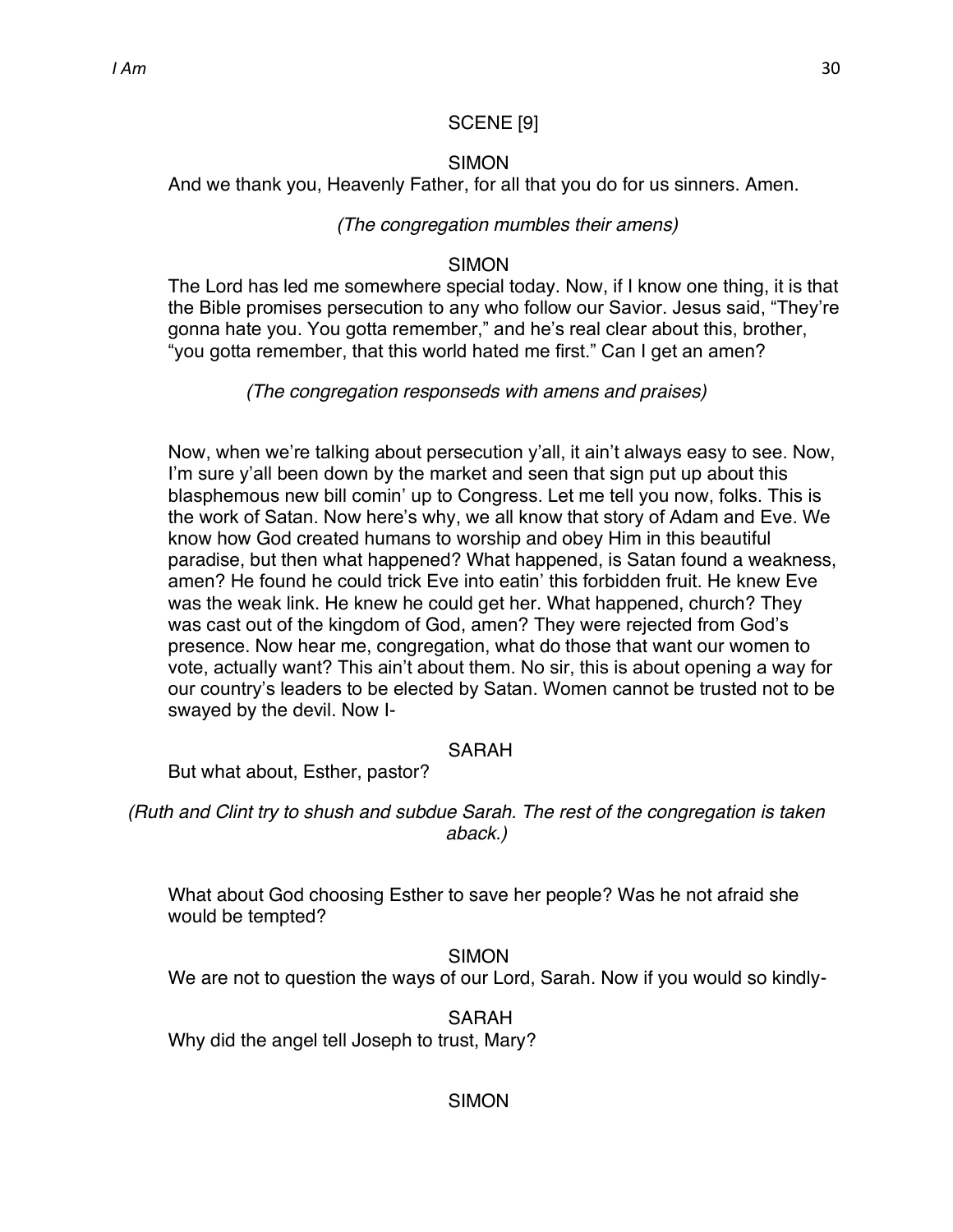#### SCENE [9]

#### SIMON

And we thank you, Heavenly Father, for all that you do for us sinners. Amen.

#### *(The congregation mumbles their amens)*

#### SIMON

The Lord has led me somewhere special today. Now, if I know one thing, it is that the Bible promises persecution to any who follow our Savior. Jesus said, "They're gonna hate you. You gotta remember," and he's real clear about this, brother, "you gotta remember, that this world hated me first." Can I get an amen?

*(The congregation responseds with amens and praises)*

Now, when we're talking about persecution y'all, it ain't always easy to see. Now, I'm sure y'all been down by the market and seen that sign put up about this blasphemous new bill comin' up to Congress. Let me tell you now, folks. This is the work of Satan. Now here's why, we all know that story of Adam and Eve. We know how God created humans to worship and obey Him in this beautiful paradise, but then what happened? What happened, is Satan found a weakness, amen? He found he could trick Eve into eatin' this forbidden fruit. He knew Eve was the weak link. He knew he could get her. What happened, church? They was cast out of the kingdom of God, amen? They were rejected from God's presence. Now hear me, congregation, what do those that want our women to vote, actually want? This ain't about them. No sir, this is about opening a way for our country's leaders to be elected by Satan. Women cannot be trusted not to be swayed by the devil. Now I-

#### SARAH

But what about, Esther, pastor?

*(Ruth and Clint try to shush and subdue Sarah. The rest of the congregation is taken aback.)*

What about God choosing Esther to save her people? Was he not afraid she would be tempted?

SIMON We are not to question the ways of our Lord, Sarah. Now if you would so kindly-

Why did the angel tell Joseph to trust, Mary?

#### SIMON

SARAH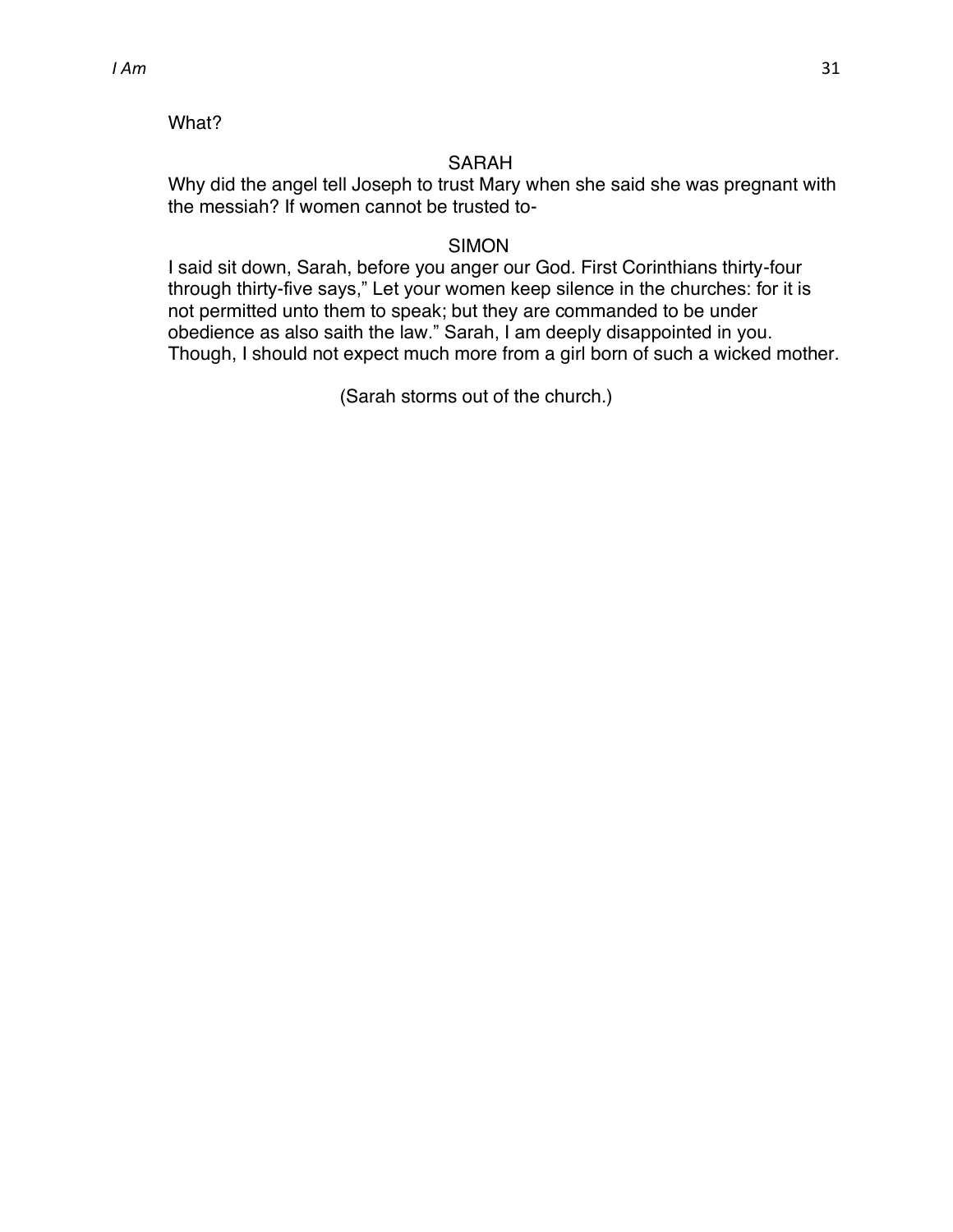#### What?

#### SARAH

Why did the angel tell Joseph to trust Mary when she said she was pregnant with the messiah? If women cannot be trusted to-

#### SIMON

I said sit down, Sarah, before you anger our God. First Corinthians thirty-four through thirty-five says," Let your women keep silence in the churches: for it is not permitted unto them to speak; but they are commanded to be under obedience as also saith the law." Sarah, I am deeply disappointed in you. Though, I should not expect much more from a girl born of such a wicked mother.

(Sarah storms out of the church.)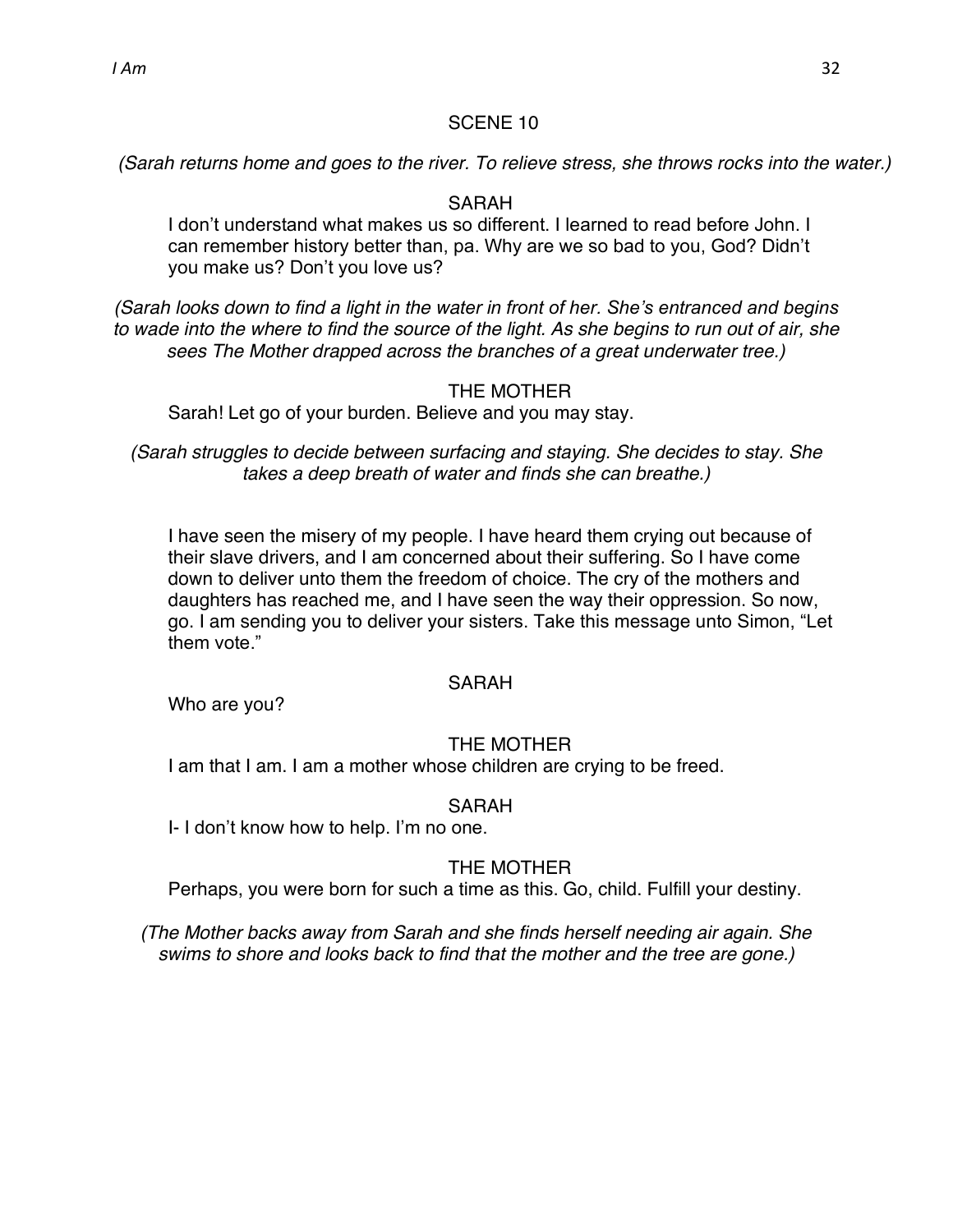*(Sarah returns home and goes to the river. To relieve stress, she throws rocks into the water.)*

#### SARAH

I don't understand what makes us so different. I learned to read before John. I can remember history better than, pa. Why are we so bad to you, God? Didn't you make us? Don't you love us?

*(Sarah looks down to find a light in the water in front of her. She's entranced and begins to wade into the where to find the source of the light. As she begins to run out of air, she sees The Mother drapped across the branches of a great underwater tree.)*

#### THE MOTHER

Sarah! Let go of your burden. Believe and you may stay.

*(Sarah struggles to decide between surfacing and staying. She decides to stay. She takes a deep breath of water and finds she can breathe.)*

I have seen the misery of my people. I have heard them crying out because of their slave drivers, and I am concerned about their suffering. So I have come down to deliver unto them the freedom of choice. The cry of the mothers and daughters has reached me, and I have seen the way their oppression. So now, go. I am sending you to deliver your sisters. Take this message unto Simon, "Let them vote."

#### SARAH

Who are you?

#### THE MOTHER

I am that I am. I am a mother whose children are crying to be freed.

#### SARAH

I- I don't know how to help. I'm no one.

#### THE MOTHER

Perhaps, you were born for such a time as this. Go, child. Fulfill your destiny.

*(The Mother backs away from Sarah and she finds herself needing air again. She swims to shore and looks back to find that the mother and the tree are gone.)*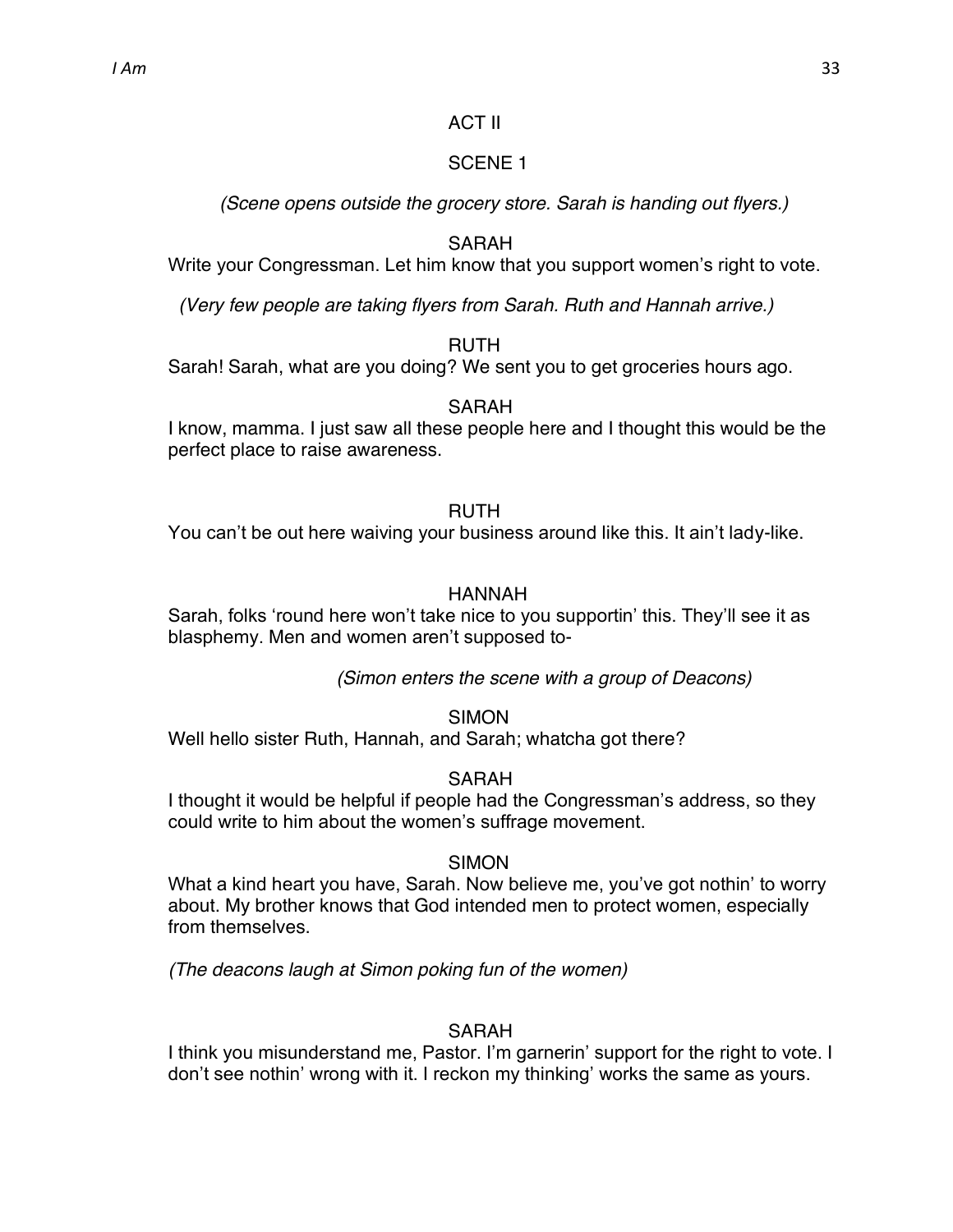#### ACT II

# SCENE 1

*(Scene opens outside the grocery store. Sarah is handing out flyers.)*

# SARAH

Write your Congressman. Let him know that you support women's right to vote.

*(Very few people are taking flyers from Sarah. Ruth and Hannah arrive.)*

# RUTH

Sarah! Sarah, what are you doing? We sent you to get groceries hours ago.

#### SARAH

I know, mamma. I just saw all these people here and I thought this would be the perfect place to raise awareness.

#### RUTH

You can't be out here waiving your business around like this. It ain't lady-like.

# HANNAH

Sarah, folks 'round here won't take nice to you supportin' this. They'll see it as blasphemy. Men and women aren't supposed to-

*(Simon enters the scene with a group of Deacons)*

#### **SIMON**

Well hello sister Ruth, Hannah, and Sarah; whatcha got there?

#### SARAH

I thought it would be helpful if people had the Congressman's address, so they could write to him about the women's suffrage movement.

# SIMON

What a kind heart you have, Sarah. Now believe me, you've got nothin' to worry about. My brother knows that God intended men to protect women, especially from themselves.

*(The deacons laugh at Simon poking fun of the women)*

# SARAH

I think you misunderstand me, Pastor. I'm garnerin' support for the right to vote. I don't see nothin' wrong with it. I reckon my thinking' works the same as yours.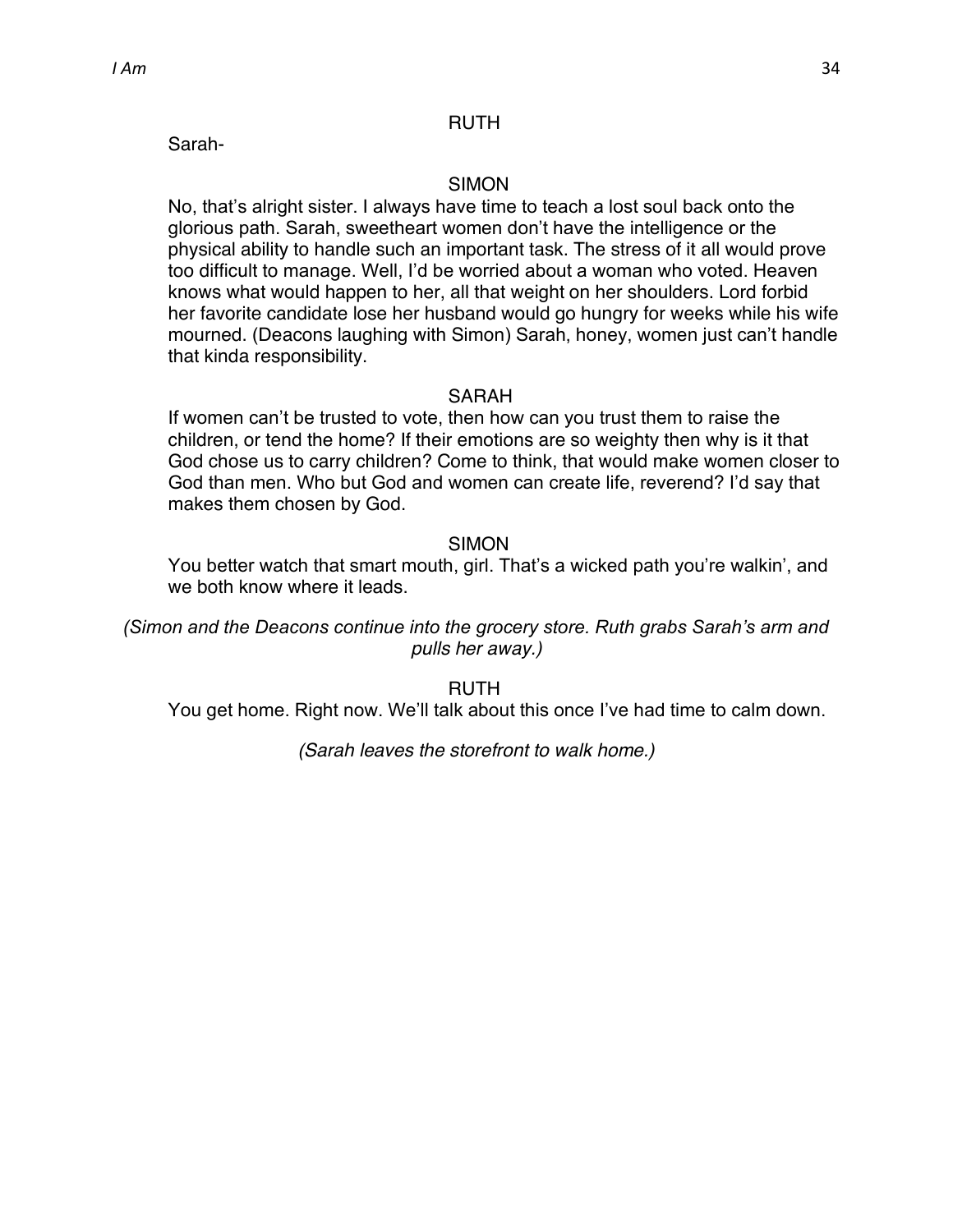Sarah-

#### SIMON

No, that's alright sister. I always have time to teach a lost soul back onto the glorious path. Sarah, sweetheart women don't have the intelligence or the physical ability to handle such an important task. The stress of it all would prove too difficult to manage. Well, I'd be worried about a woman who voted. Heaven knows what would happen to her, all that weight on her shoulders. Lord forbid her favorite candidate lose her husband would go hungry for weeks while his wife mourned. (Deacons laughing with Simon) Sarah, honey, women just can't handle that kinda responsibility.

#### **SARAH**

If women can't be trusted to vote, then how can you trust them to raise the children, or tend the home? If their emotions are so weighty then why is it that God chose us to carry children? Come to think, that would make women closer to God than men. Who but God and women can create life, reverend? I'd say that makes them chosen by God.

#### SIMON

You better watch that smart mouth, girl. That's a wicked path you're walkin', and we both know where it leads.

*(Simon and the Deacons continue into the grocery store. Ruth grabs Sarah's arm and pulls her away.)*

RUTH You get home. Right now. We'll talk about this once I've had time to calm down.

*(Sarah leaves the storefront to walk home.)*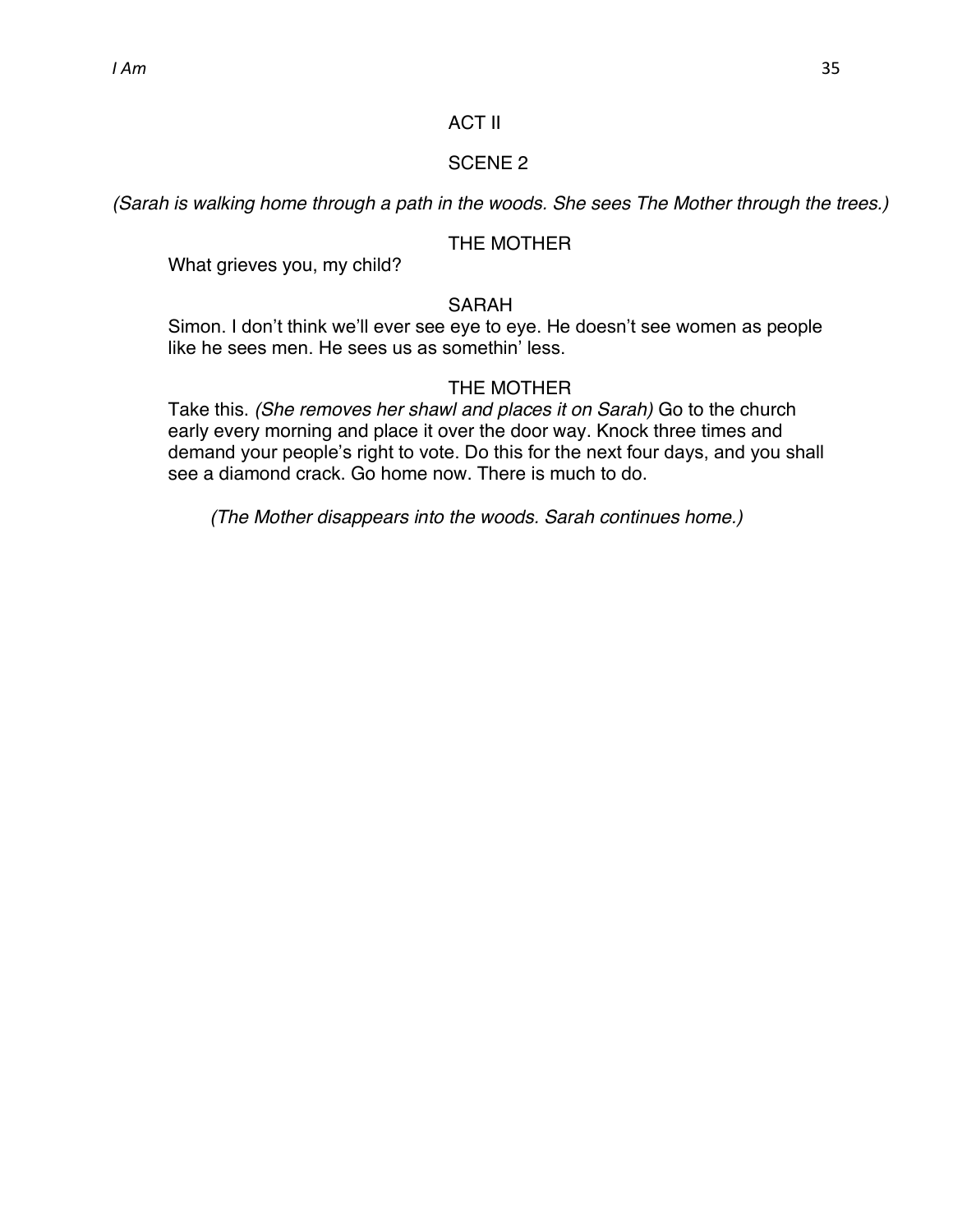*(Sarah is walking home through a path in the woods. She sees The Mother through the trees.)*

#### THE MOTHER

What grieves you, my child?

#### SARAH

Simon. I don't think we'll ever see eye to eye. He doesn't see women as people like he sees men. He sees us as somethin' less.

#### THE MOTHER

Take this. *(She removes her shawl and places it on Sarah)* Go to the church early every morning and place it over the door way. Knock three times and demand your people's right to vote. Do this for the next four days, and you shall see a diamond crack. Go home now. There is much to do.

*(The Mother disappears into the woods. Sarah continues home.)*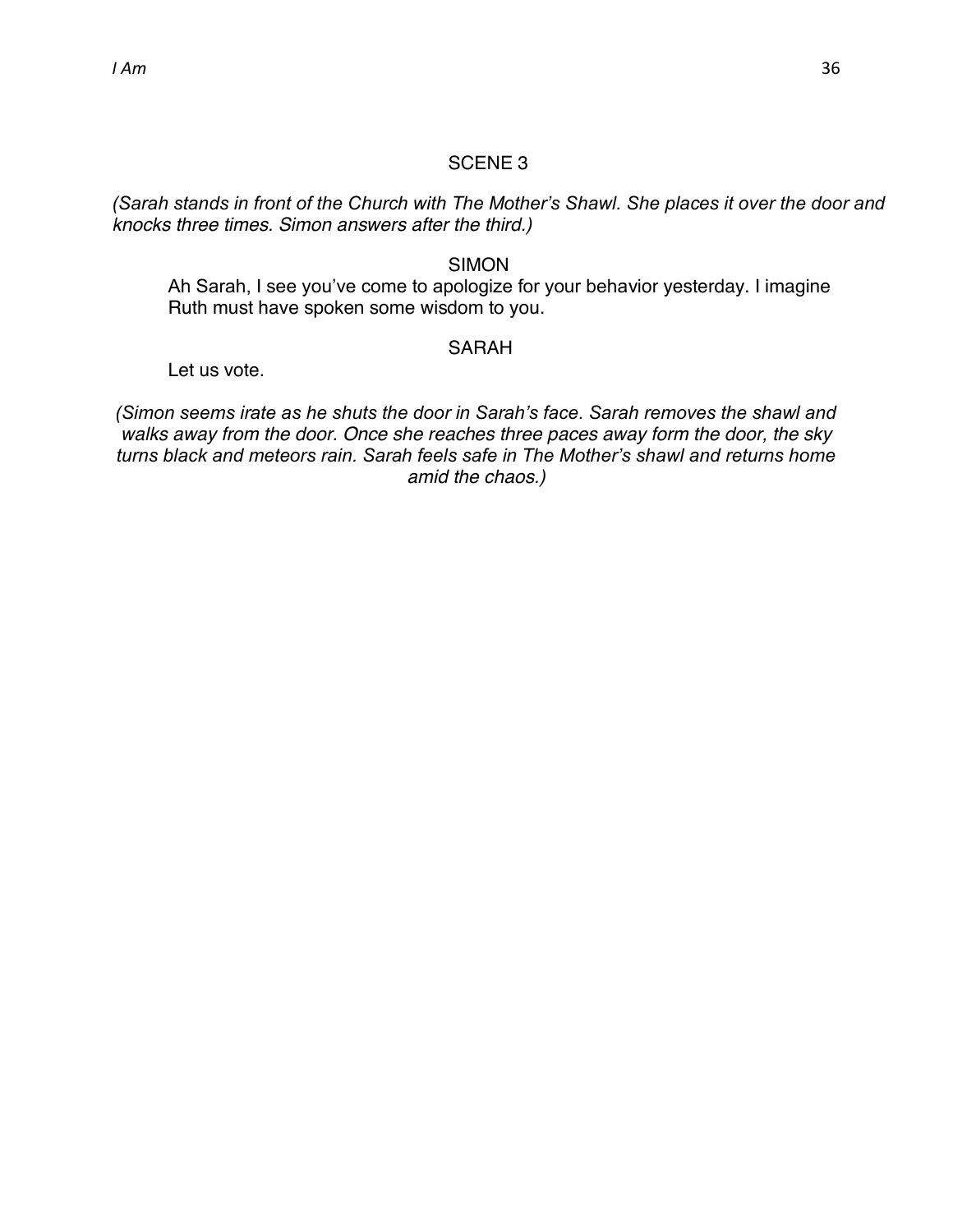*(Sarah stands in front of the Church with The Mother's Shawl. She places it over the door and knocks three times. Simon answers after the third.)*

# SIMON

Ah Sarah, I see you've come to apologize for your behavior yesterday. I imagine Ruth must have spoken some wisdom to you.

#### SARAH

Let us vote.

*(Simon seems irate as he shuts the door in Sarah's face. Sarah removes the shawl and walks away from the door. Once she reaches three paces away form the door, the sky turns black and meteors rain. Sarah feels safe in The Mother's shawl and returns home amid the chaos.)*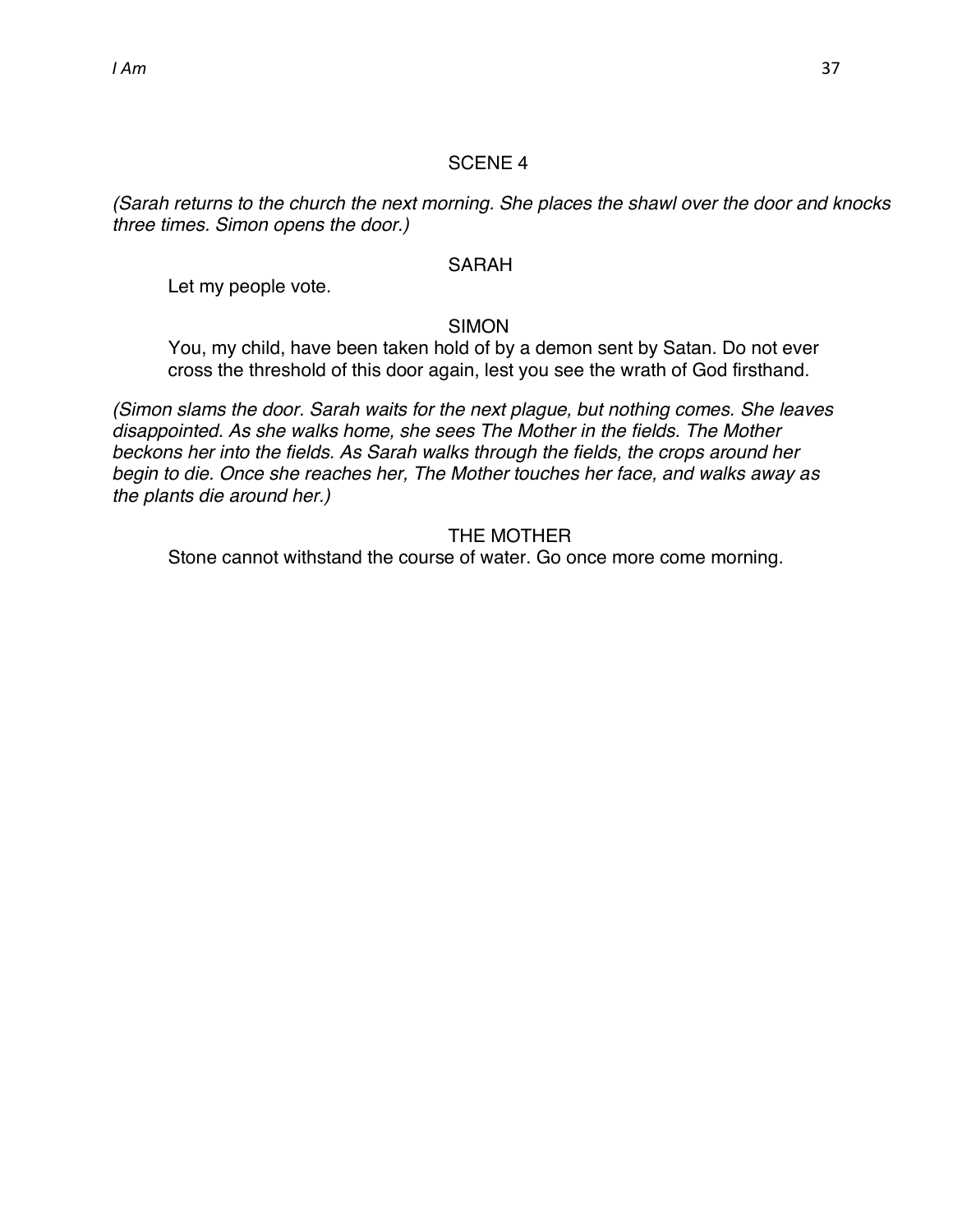*(Sarah returns to the church the next morning. She places the shawl over the door and knocks three times. Simon opens the door.)*

#### SARAH

Let my people vote.

SIMON

You, my child, have been taken hold of by a demon sent by Satan. Do not ever cross the threshold of this door again, lest you see the wrath of God firsthand.

*(Simon slams the door. Sarah waits for the next plague, but nothing comes. She leaves disappointed. As she walks home, she sees The Mother in the fields. The Mother beckons her into the fields. As Sarah walks through the fields, the crops around her begin to die. Once she reaches her, The Mother touches her face, and walks away as the plants die around her.)*

THE MOTHER

Stone cannot withstand the course of water. Go once more come morning.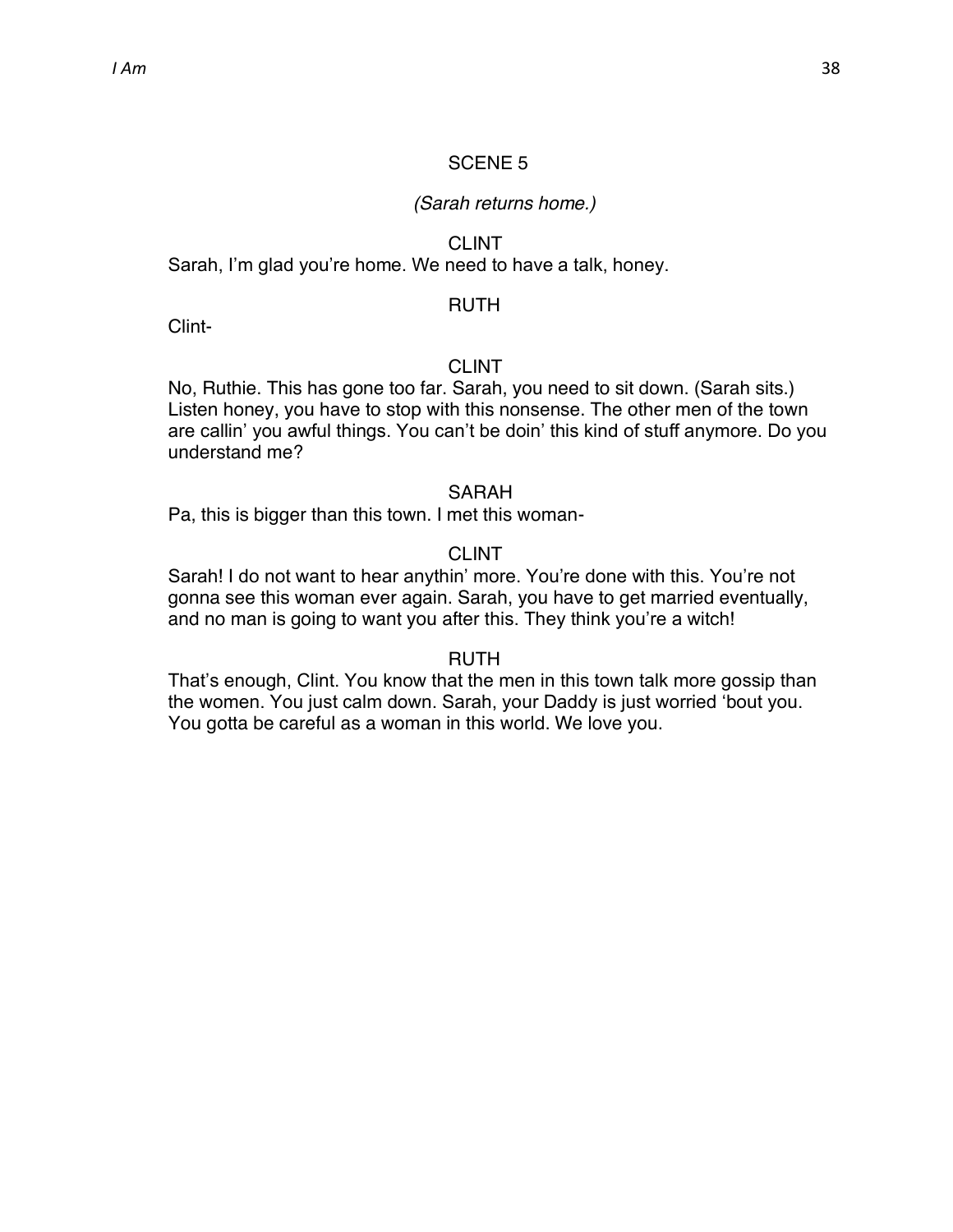#### *(Sarah returns home.)*

#### CLINT

Sarah, I'm glad you're home. We need to have a talk, honey.

#### RUTH

Clint-

#### CLINT

No, Ruthie. This has gone too far. Sarah, you need to sit down. (Sarah sits.) Listen honey, you have to stop with this nonsense. The other men of the town are callin' you awful things. You can't be doin' this kind of stuff anymore. Do you understand me?

#### SARAH

Pa, this is bigger than this town. I met this woman-

#### CLINT

Sarah! I do not want to hear anythin' more. You're done with this. You're not gonna see this woman ever again. Sarah, you have to get married eventually, and no man is going to want you after this. They think you're a witch!

#### RUTH

That's enough, Clint. You know that the men in this town talk more gossip than the women. You just calm down. Sarah, your Daddy is just worried 'bout you. You gotta be careful as a woman in this world. We love you.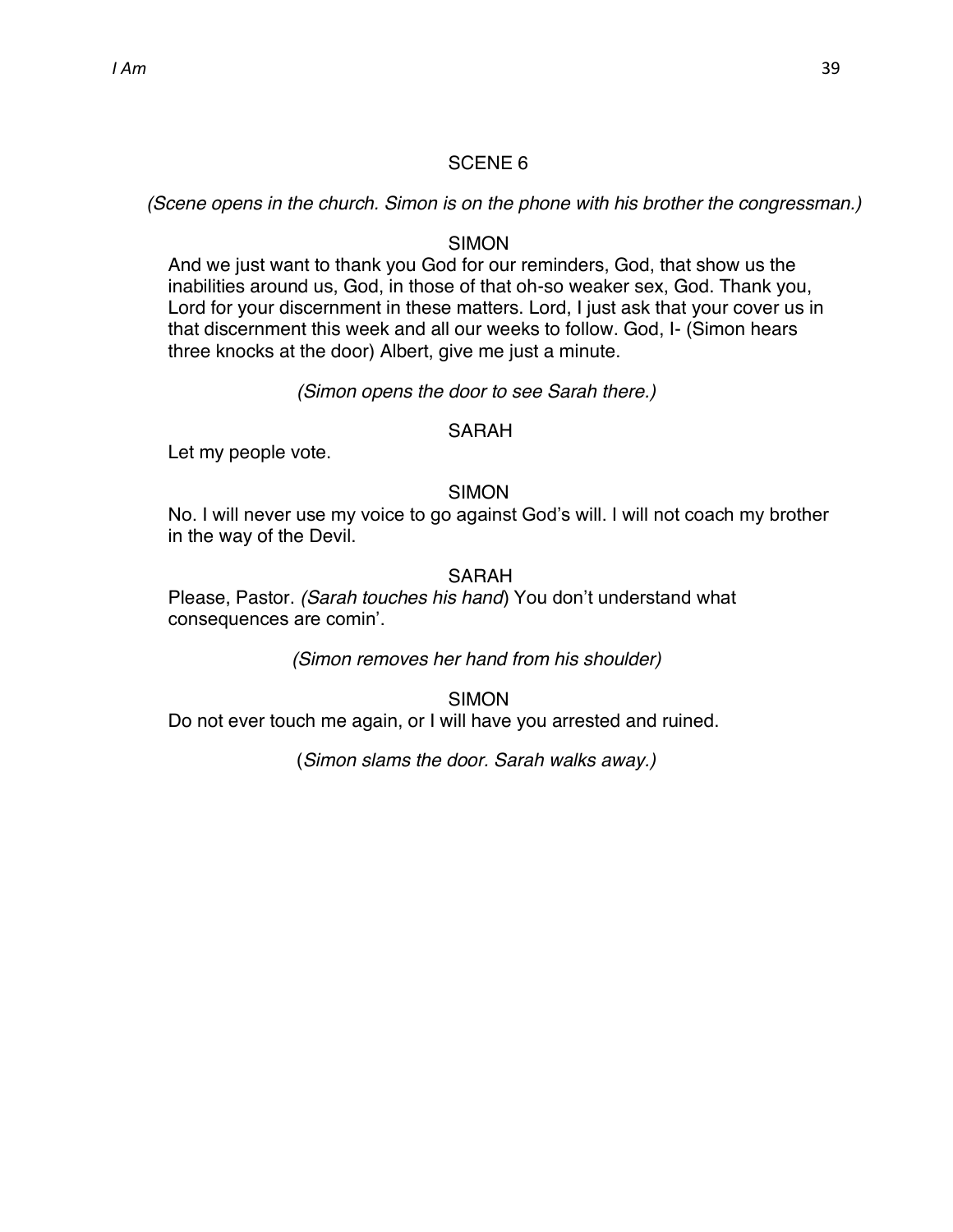*(Scene opens in the church. Simon is on the phone with his brother the congressman.)*

#### **SIMON**

And we just want to thank you God for our reminders, God, that show us the inabilities around us, God, in those of that oh-so weaker sex, God. Thank you, Lord for your discernment in these matters. Lord, I just ask that your cover us in that discernment this week and all our weeks to follow. God, I- (Simon hears three knocks at the door) Albert, give me just a minute.

#### *(Simon opens the door to see Sarah there.)*

#### SARAH

Let my people vote.

#### SIMON

No. I will never use my voice to go against God's will. I will not coach my brother in the way of the Devil.

#### SARAH

Please, Pastor. *(Sarah touches his hand*) You don't understand what consequences are comin'.

*(Simon removes her hand from his shoulder)*

SIMON

Do not ever touch me again, or I will have you arrested and ruined.

(*Simon slams the door. Sarah walks away.)*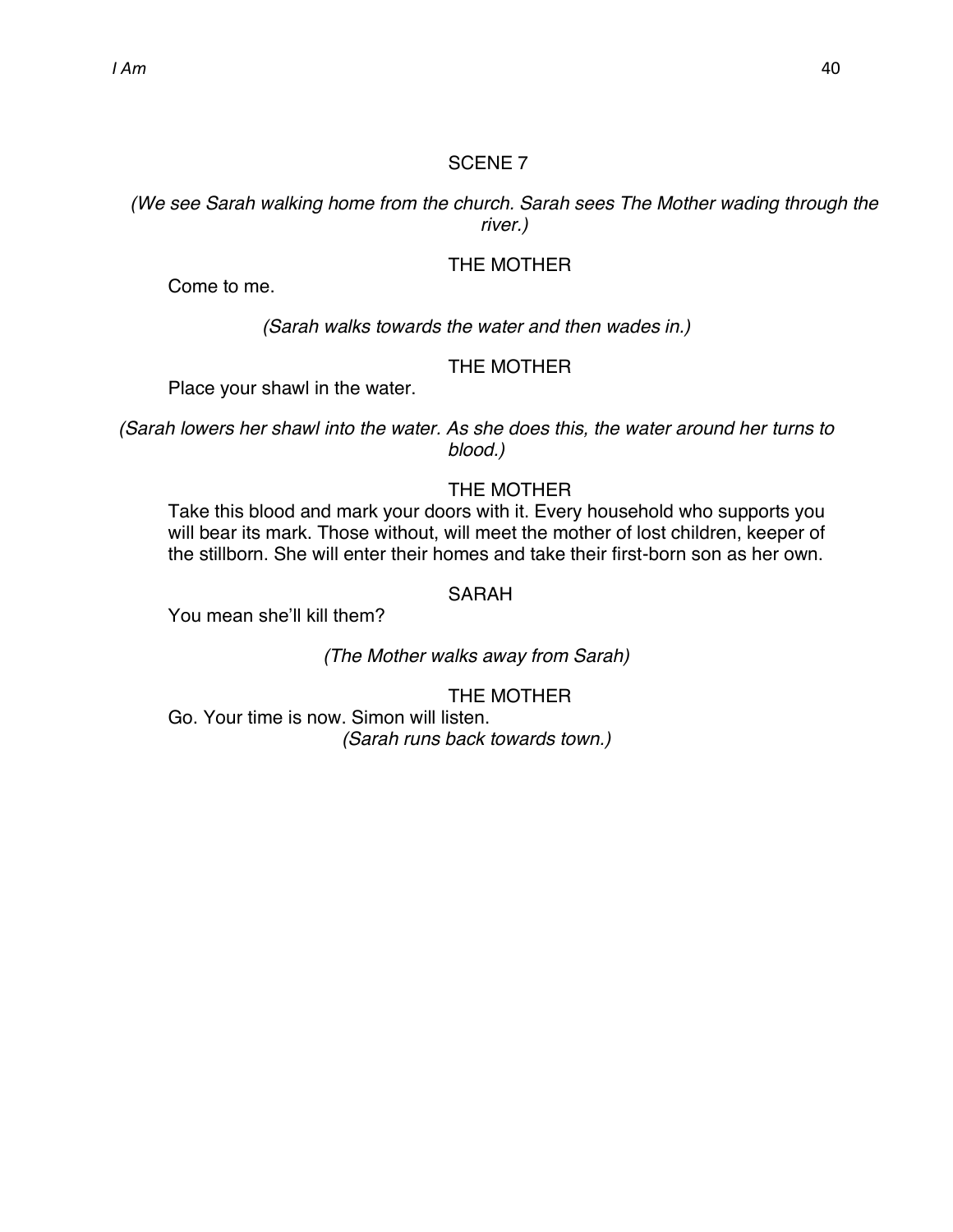*(We see Sarah walking home from the church. Sarah sees The Mother wading through the river.)*

# THE MOTHER

Come to me.

*(Sarah walks towards the water and then wades in.)*

#### THE MOTHER

Place your shawl in the water.

*(Sarah lowers her shawl into the water. As she does this, the water around her turns to blood.)*

# THE MOTHER

Take this blood and mark your doors with it. Every household who supports you will bear its mark. Those without, will meet the mother of lost children, keeper of the stillborn. She will enter their homes and take their first-born son as her own.

#### SARAH

You mean she'll kill them?

*(The Mother walks away from Sarah)*

THE MOTHER Go. Your time is now. Simon will listen. *(Sarah runs back towards town.)*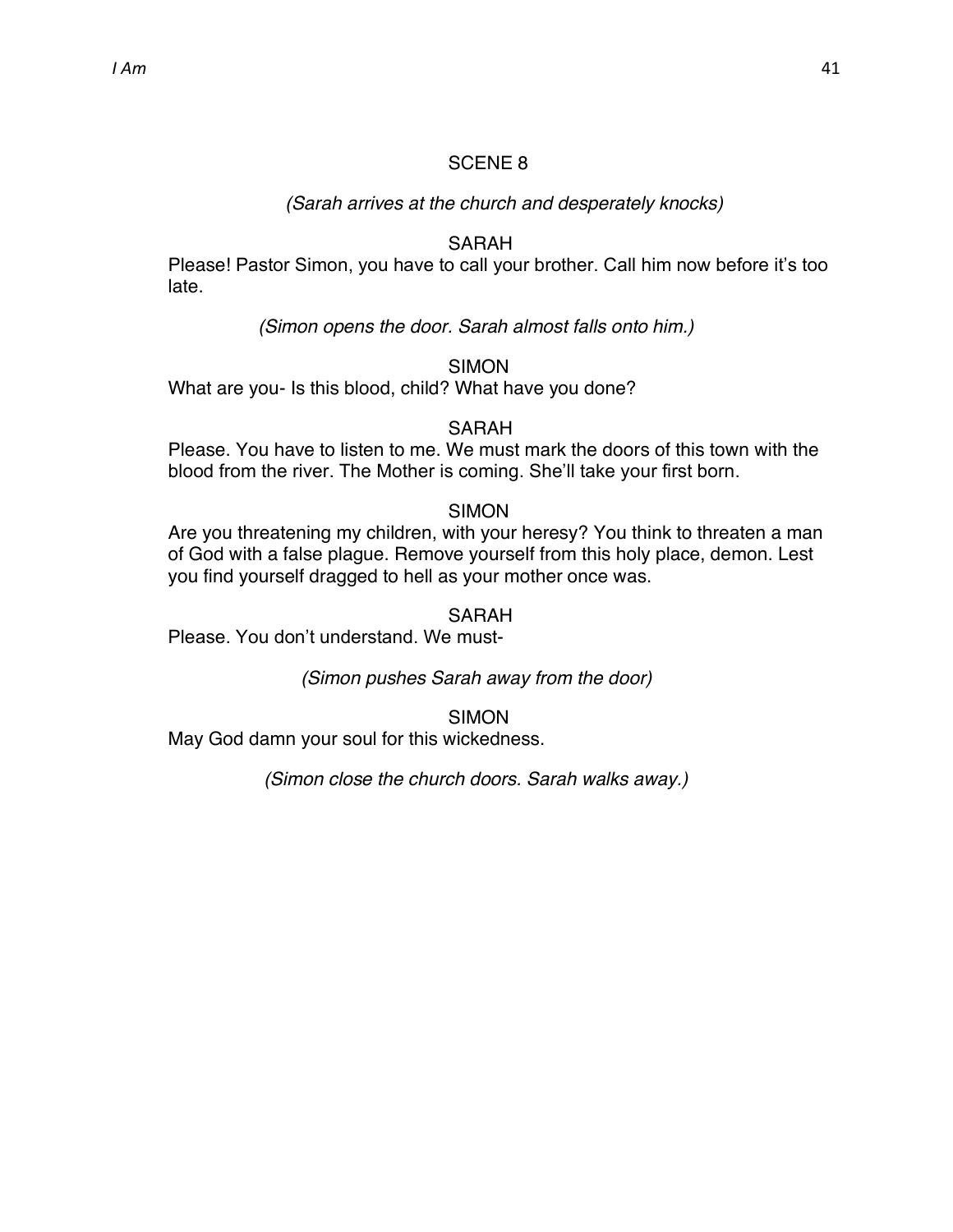#### *(Sarah arrives at the church and desperately knocks)*

#### **SARAH**

Please! Pastor Simon, you have to call your brother. Call him now before it's too late.

*(Simon opens the door. Sarah almost falls onto him.)*

SIMON

What are you- Is this blood, child? What have you done?

#### SARAH

Please. You have to listen to me. We must mark the doors of this town with the blood from the river. The Mother is coming. She'll take your first born.

#### **SIMON**

Are you threatening my children, with your heresy? You think to threaten a man of God with a false plague. Remove yourself from this holy place, demon. Lest you find yourself dragged to hell as your mother once was.

#### SARAH

Please. You don't understand. We must-

*(Simon pushes Sarah away from the door)*

**SIMON** 

May God damn your soul for this wickedness.

*(Simon close the church doors. Sarah walks away.)*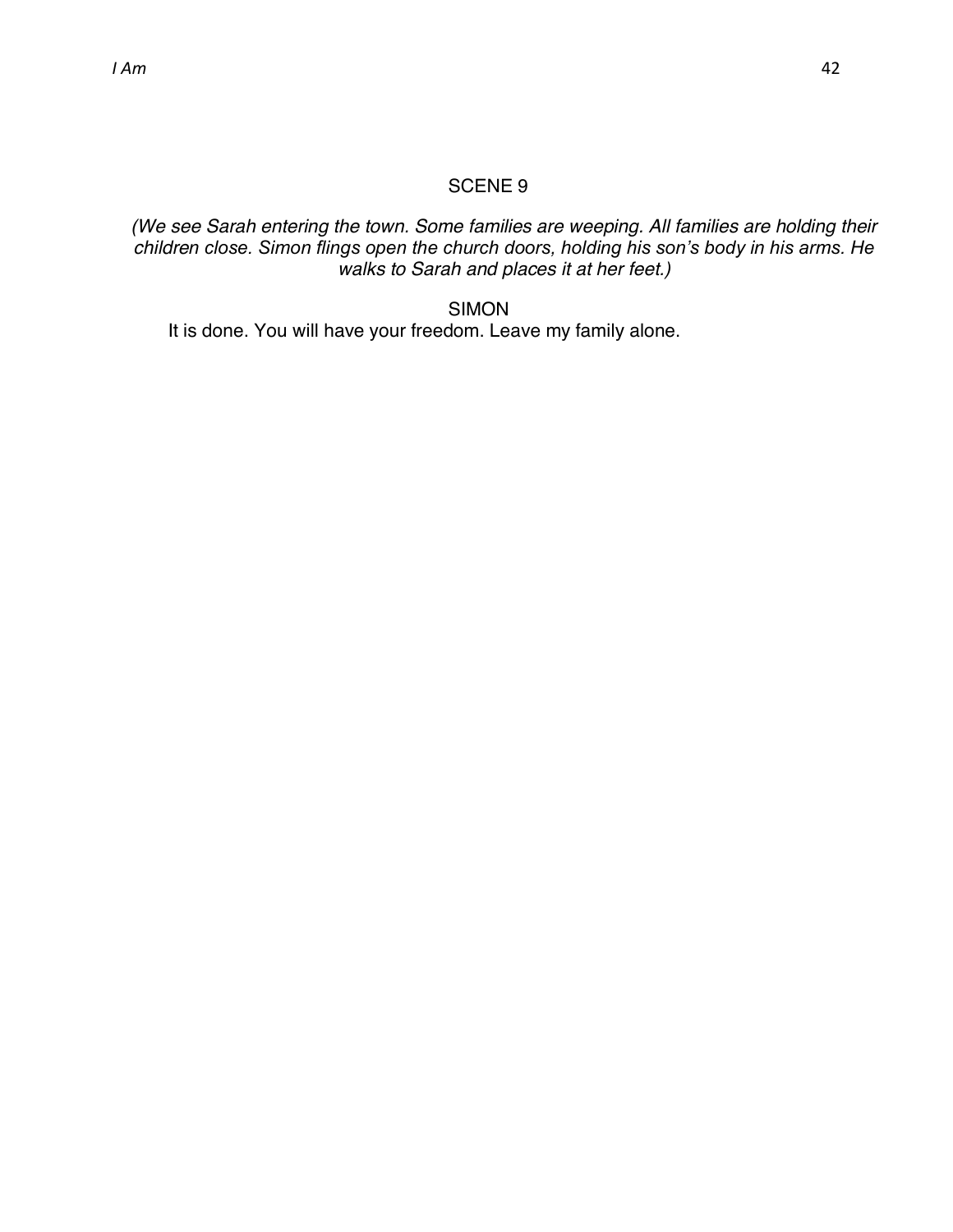# *(We see Sarah entering the town. Some families are weeping. All families are holding their children close. Simon flings open the church doors, holding his son's body in his arms. He walks to Sarah and places it at her feet.)*

#### SIMON

It is done. You will have your freedom. Leave my family alone.